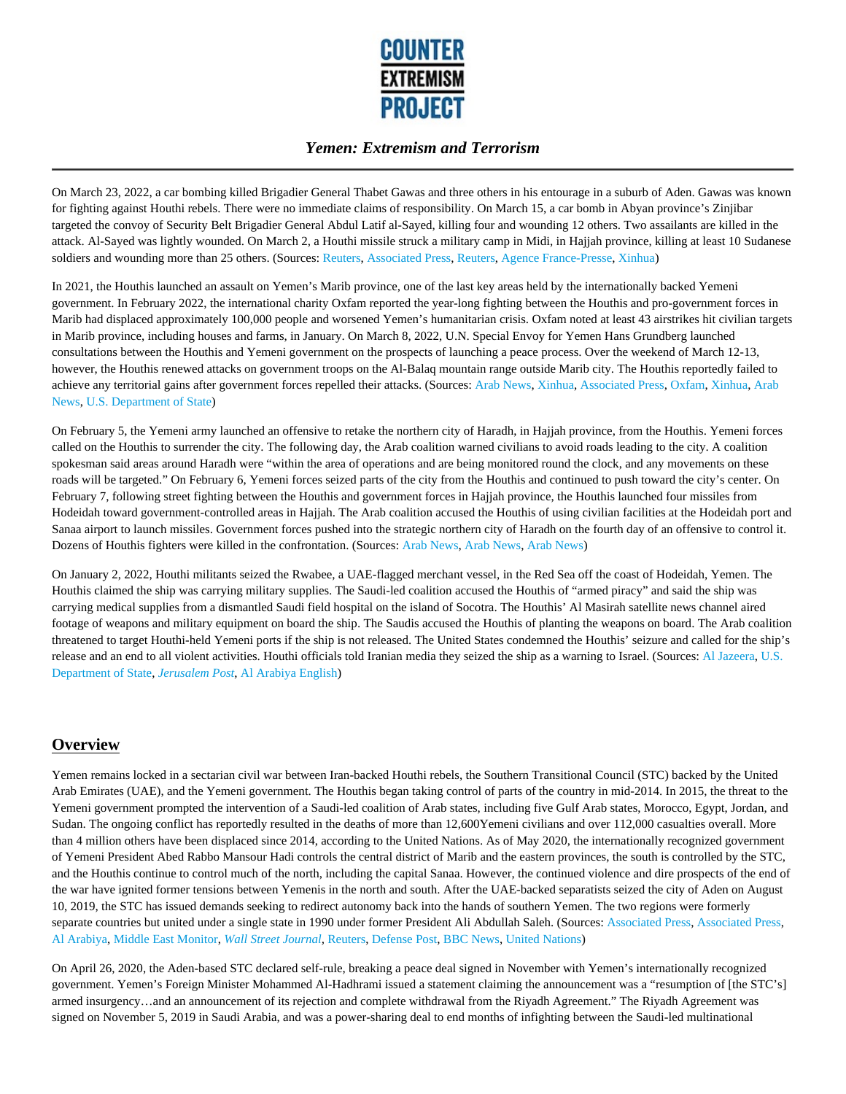

On March 23, 2022, a car bombing killed Brigadier General Thabet Gawas and three others in his entourage in a suburb of Aden. Gawas was known for fighting against Houthi rebels. There were no immediate claims of responsibility. On March 15, a car bomb in Abyan province's Zinjibar targeted the convoy of Security Belt Brigadier General Abdul Latif al-Sayed, killing four and wounding 12 others. Two assailants are killed in the attack. Al-Sayed was lightly wounded. On March 2, a Houthi missile struck a military camp in Midi, in Hajjah province, killing at least 10 Sudanese soldiers and wounding more than 25 others. (Sources: Reuters, Associated Press, Reuters, Agence France-Presse, Xinhua)

In 2021, the Houthis launched an assault on Yemen's Marib province, one of the last key areas held by the internationally backed Yemeni government. In February 2022, the international charity Oxfam reported the year-long fighting between the Houthis and pro-government forces in Marib had displaced approximately 100,000 people and worsened Yemen's humanitarian crisis. Oxfam noted at least 43 airstrikes hit civilian targets in Marib province, including houses and farms, in January. On March 8, 2022, U.N. Special Envoy for Yemen Hans Grundberg launched consultations between the Houthis and Yemeni government on the prospects of launching a peace process. Over the weekend of March 12-13, however, the Houthis renewed attacks on government troops on the Al-Balaq mountain range outside Marib city. The Houthis reportedly failed to achieve any territorial gains after government forces repelled their attacks. (Sources: Arab News, Xinhua, Associated Press, Oxfam, Xinhua, Arab News, U.S. Department of State)

On February 5, the Yemeni army launched an offensive to retake the northern city of Haradh, in Hajjah province, from the Houthis. Yemeni forces called on the Houthis to surrender the city. The following day, the Arab coalition warned civilians to avoid roads leading to the city. A coalition spokesman said areas around Haradh were "within the area of operations and are being monitored round the clock, and any movements on these roads will be targeted." On February 6, Yemeni forces seized parts of the city from the Houthis and continued to push toward the city's center. On February 7, following street fighting between the Houthis and government forces in Hajjah province, the Houthis launched four missiles from Hodeidah toward government-controlled areas in Hajjah. The Arab coalition accused the Houthis of using civilian facilities at the Hodeidah port and Sanaa airport to launch missiles. Government forces pushed into the strategic northern city of Haradh on the fourth day of an offensive to control it. Dozens of Houthis fighters were killed in the confrontation. (Sources: Arab News, Arab News, Arab News)

On January 2, 2022, Houthi militants seized the Rwabee, a UAE-flagged merchant vessel, in the Red Sea off the coast of Hodeidah, Yemen. The Houthis claimed the ship was carrying military supplies. The Saudi-led coalition accused the Houthis of "armed piracy" and said the ship was carrying medical supplies from a dismantled Saudi field hospital on the island of Socotra. The Houthis' Al Masirah satellite news channel aired footage of weapons and military equipment on board the ship. The Saudis accused the Houthis of planting the weapons on board. The Arab coalition threatened to target Houthi-held Yemeni ports if the ship is not released. The United States condemned the Houthis' seizure and called for the ship's release and an end to all violent activities. Houthi officials told Iranian media they seized the ship as a warning to Israel. (Sources: Al Jazeera, U.S. Department of State, *Jerusalem Post*, Al Arabiya English)

# **Overview**

Yemen remains locked in a sectarian civil war between Iran-backed Houthi rebels, the Southern Transitional Council (STC) backed by the United Arab Emirates (UAE), and the Yemeni government. The Houthis began taking control of parts of the country in mid-2014. In 2015, the threat to the Yemeni government prompted the intervention of a Saudi-led coalition of Arab states, including five Gulf Arab states, Morocco, Egypt, Jordan, and Sudan. The ongoing conflict has reportedly resulted in the deaths of more than 12,600Yemeni civilians and over 112,000 casualties overall. More than 4 million others have been displaced since 2014, according to the United Nations. As of May 2020, the internationally recognized government of Yemeni President Abed Rabbo Mansour Hadi controls the central district of Marib and the eastern provinces, the south is controlled by the STC, and the Houthis continue to control much of the north, including the capital Sanaa. However, the continued violence and dire prospects of the end of the war have ignited former tensions between Yemenis in the north and south. After the UAE-backed separatists seized the city of Aden on August 10, 2019, the STC has issued demands seeking to redirect autonomy back into the hands of southern Yemen. The two regions were formerly separate countries but united under a single state in 1990 under former President Ali Abdullah Saleh. (Sources: Associated Press, Associated Press, Al Arabiya, Middle East Monitor, *Wall Street Journal,* Reuters, Defense Post, BBC News, United Nations)

On April 26, 2020, the Aden-based STC declared self-rule, breaking a peace deal signed in November with Yemen's internationally recognized government. Yemen's Foreign Minister Mohammed Al-Hadhrami issued a statement claiming the announcement was a "resumption of [the STC's] armed insurgency…and an announcement of its rejection and complete withdrawal from the Riyadh Agreement." The Riyadh Agreement was signed on November 5, 2019 in Saudi Arabia, and was a power-sharing deal to end months of infighting between the Saudi-led multinational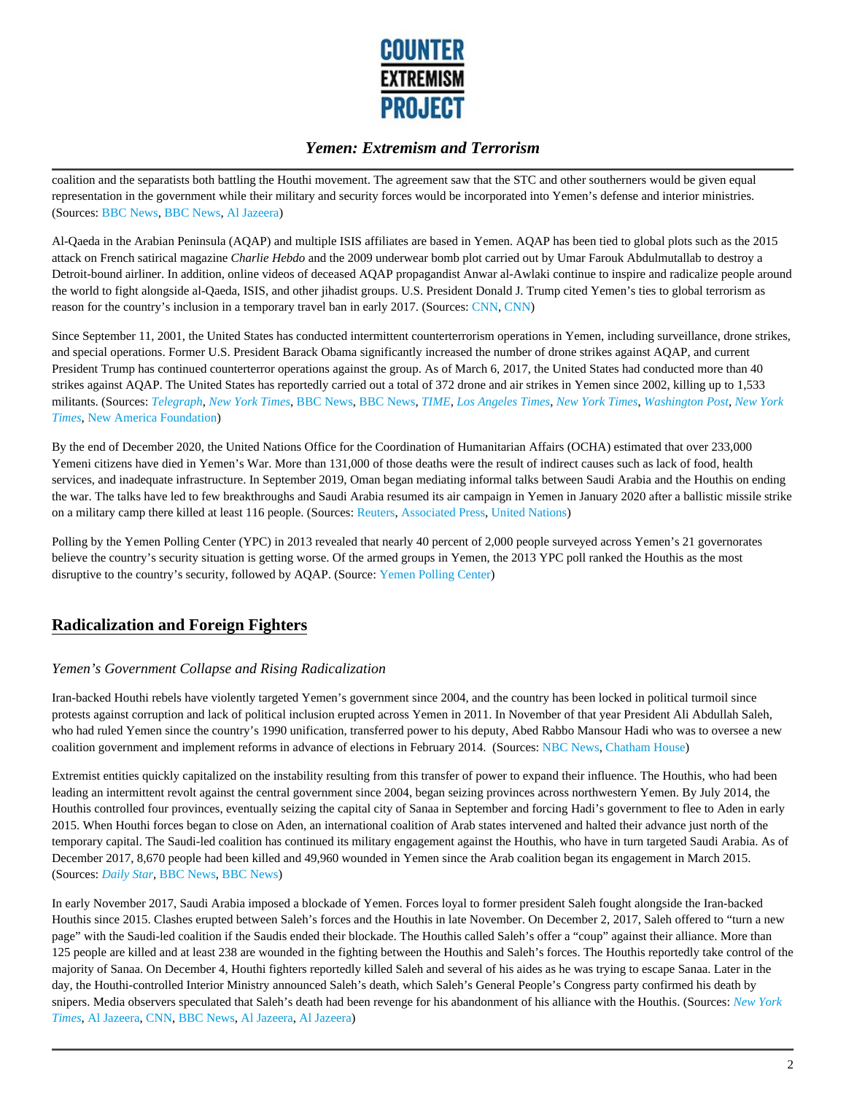

coalition and the separatists both battling the Houthi movement. The agreement saw that the STC and other southerners would be given equal representation in the government while their military and security forces would be incorporated into Yemen's defense and interior ministries. (Sources: BBC News, BBC News, Al Jazeera)

Al-Qaeda in the Arabian Peninsula (AQAP) and multiple ISIS affiliates are based in Yemen. AQAP has been tied to global plots such as the 2015 attack on French satirical magazine *Charlie Hebdo* and the 2009 underwear bomb plot carried out by Umar Farouk Abdulmutallab to destroy a Detroit-bound airliner. In addition, online videos of deceased AQAP propagandist Anwar al-Awlaki continue to inspire and radicalize people around the world to fight alongside al-Qaeda, ISIS, and other jihadist groups. U.S. President Donald J. Trump cited Yemen's ties to global terrorism as reason for the country's inclusion in a temporary travel ban in early 2017. (Sources: CNN, CNN)

Since September 11, 2001, the United States has conducted intermittent counterterrorism operations in Yemen, including surveillance, drone strikes, and special operations. Former U.S. President Barack Obama significantly increased the number of drone strikes against AQAP, and current President Trump has continued counterterror operations against the group. As of March 6, 2017, the United States had conducted more than 40 strikes against AQAP. The United States has reportedly carried out a total of 372 drone and air strikes in Yemen since 2002, killing up to 1,533 militants. (Sources: *Telegraph*, *New York Times*, BBC News, BBC News, *TIME*, *Los Angeles Times*, *New York Times*, *Washington Post*, *New York Times*, New America Foundation)

By the end of December 2020, the United Nations Office for the Coordination of Humanitarian Affairs (OCHA) estimated that over 233,000 Yemeni citizens have died in Yemen's War. More than 131,000 of those deaths were the result of indirect causes such as lack of food, health services, and inadequate infrastructure. In September 2019, Oman began mediating informal talks between Saudi Arabia and the Houthis on ending the war. The talks have led to few breakthroughs and Saudi Arabia resumed its air campaign in Yemen in January 2020 after a ballistic missile strike on a military camp there killed at least 116 people. (Sources: Reuters, Associated Press, United Nations)

Polling by the Yemen Polling Center (YPC) in 2013 revealed that nearly 40 percent of 2,000 people surveyed across Yemen's 21 governorates believe the country's security situation is getting worse. Of the armed groups in Yemen, the 2013 YPC poll ranked the Houthis as the most disruptive to the country's security, followed by AQAP. (Source: Yemen Polling Center)

# **Radicalization and Foreign Fighters**

#### *Yemen's Government Collapse and Rising Radicalization*

Iran-backed Houthi rebels have violently targeted Yemen's government since 2004, and the country has been locked in political turmoil since protests against corruption and lack of political inclusion erupted across Yemen in 2011. In November of that year President Ali Abdullah Saleh, who had ruled Yemen since the country's 1990 unification, transferred power to his deputy, Abed Rabbo Mansour Hadi who was to oversee a new coalition government and implement reforms in advance of elections in February 2014. (Sources: NBC News, Chatham House)

Extremist entities quickly capitalized on the instability resulting from this transfer of power to expand their influence. The Houthis, who had been leading an intermittent revolt against the central government since 2004, began seizing provinces across northwestern Yemen. By July 2014, the Houthis controlled four provinces, eventually seizing the capital city of Sanaa in September and forcing Hadi's government to flee to Aden in early 2015. When Houthi forces began to close on Aden, an international coalition of Arab states intervened and halted their advance just north of the temporary capital. The Saudi-led coalition has continued its military engagement against the Houthis, who have in turn targeted Saudi Arabia. As of December 2017, 8,670 people had been killed and 49,960 wounded in Yemen since the Arab coalition began its engagement in March 2015. (Sources: *Daily Star*, BBC News, BBC News)

In early November 2017, Saudi Arabia imposed a blockade of Yemen. Forces loyal to former president Saleh fought alongside the Iran-backed Houthis since 2015. Clashes erupted between Saleh's forces and the Houthis in late November. On December 2, 2017, Saleh offered to "turn a new page" with the Saudi-led coalition if the Saudis ended their blockade. The Houthis called Saleh's offer a "coup" against their alliance. More than 125 people are killed and at least 238 are wounded in the fighting between the Houthis and Saleh's forces. The Houthis reportedly take control of the majority of Sanaa. On December 4, Houthi fighters reportedly killed Saleh and several of his aides as he was trying to escape Sanaa. Later in the day, the Houthi-controlled Interior Ministry announced Saleh's death, which Saleh's General People's Congress party confirmed his death by snipers. Media observers speculated that Saleh's death had been revenge for his abandonment of his alliance with the Houthis. (Sources: *New York Times*, Al Jazeera, CNN, BBC News, Al Jazeera, Al Jazeera)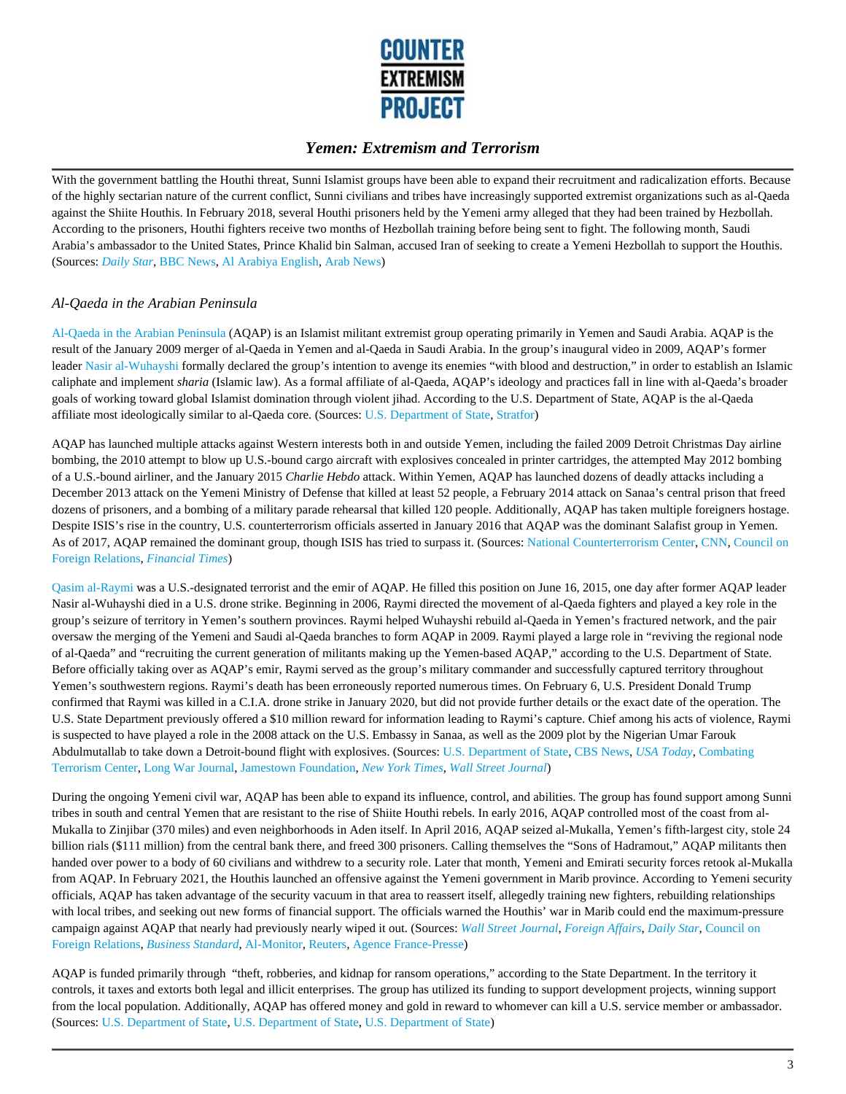

With the government battling the Houthi threat, Sunni Islamist groups have been able to expand their recruitment and radicalization efforts. Because of the highly sectarian nature of the current conflict, Sunni civilians and tribes have increasingly supported extremist organizations such as al-Qaeda against the Shiite Houthis. In February 2018, several Houthi prisoners held by the Yemeni army alleged that they had been trained by Hezbollah. According to the prisoners, Houthi fighters receive two months of Hezbollah training before being sent to fight. The following month, Saudi Arabia's ambassador to the United States, Prince Khalid bin Salman, accused Iran of seeking to create a Yemeni Hezbollah to support the Houthis. (Sources: *Daily Star*, BBC News, Al Arabiya English, Arab News)

#### *Al-Qaeda in the Arabian Peninsula*

Al-Qaeda in the Arabian Peninsula (AQAP) is an Islamist militant extremist group operating primarily in Yemen and Saudi Arabia. AQAP is the result of the January 2009 merger of al-Qaeda in Yemen and al-Qaeda in Saudi Arabia. In the group's inaugural video in 2009, AQAP's former leader Nasir al-Wuhayshi formally declared the group's intention to avenge its enemies "with blood and destruction," in order to establish an Islamic caliphate and implement *sharia* (Islamic law). As a formal affiliate of al-Qaeda, AQAP's ideology and practices fall in line with al-Qaeda's broader goals of working toward global Islamist domination through violent jihad. According to the U.S. Department of State, AQAP is the al-Qaeda affiliate most ideologically similar to al-Qaeda core. (Sources: U.S. Department of State, Stratfor)

AQAP has launched multiple attacks against Western interests both in and outside Yemen, including the failed 2009 Detroit Christmas Day airline bombing, the 2010 attempt to blow up U.S.-bound cargo aircraft with explosives concealed in printer cartridges, the attempted May 2012 bombing of a U.S.-bound airliner, and the January 2015 *Charlie Hebdo* attack. Within Yemen, AQAP has launched dozens of deadly attacks including a December 2013 attack on the Yemeni Ministry of Defense that killed at least 52 people, a February 2014 attack on Sanaa's central prison that freed dozens of prisoners, and a bombing of a military parade rehearsal that killed 120 people. Additionally, AQAP has taken multiple foreigners hostage. Despite ISIS's rise in the country, U.S. counterterrorism officials asserted in January 2016 that AQAP was the dominant Salafist group in Yemen. As of 2017, AQAP remained the dominant group, though ISIS has tried to surpass it. (Sources: National Counterterrorism Center, CNN, Council on Foreign Relations, *Financial Times*)

Qasim al-Raymi was a U.S.-designated terrorist and the emir of AQAP. He filled this position on June 16, 2015, one day after former AQAP leader Nasir al-Wuhayshi died in a U.S. drone strike. Beginning in 2006, Raymi directed the movement of al-Qaeda fighters and played a key role in the group's seizure of territory in Yemen's southern provinces. Raymi helped Wuhayshi rebuild al-Qaeda in Yemen's fractured network, and the pair oversaw the merging of the Yemeni and Saudi al-Qaeda branches to form AQAP in 2009. Raymi played a large role in "reviving the regional node of al-Qaeda" and "recruiting the current generation of militants making up the Yemen-based AQAP," according to the U.S. Department of State. Before officially taking over as AQAP's emir, Raymi served as the group's military commander and successfully captured territory throughout Yemen's southwestern regions. Raymi's death has been erroneously reported numerous times. On February 6, U.S. President Donald Trump confirmed that Raymi was killed in a C.I.A. drone strike in January 2020, but did not provide further details or the exact date of the operation. The U.S. State Department previously offered a \$10 million reward for information leading to Raymi's capture. Chief among his acts of violence, Raymi is suspected to have played a role in the 2008 attack on the U.S. Embassy in Sanaa, as well as the 2009 plot by the Nigerian Umar Farouk Abdulmutallab to take down a Detroit-bound flight with explosives. (Sources: U.S. Department of State, CBS News, *USA Today*, Combating Terrorism Center, Long War Journal, Jamestown Foundation, *New York Times*, *Wall Street Journal*)

During the ongoing Yemeni civil war, AQAP has been able to expand its influence, control, and abilities. The group has found support among Sunni tribes in south and central Yemen that are resistant to the rise of Shiite Houthi rebels. In early 2016, AQAP controlled most of the coast from al-Mukalla to Zinjibar (370 miles) and even neighborhoods in Aden itself. In April 2016, AQAP seized al-Mukalla, Yemen's fifth-largest city, stole 24 billion rials (\$111 million) from the central bank there, and freed 300 prisoners. Calling themselves the "Sons of Hadramout," AQAP militants then handed over power to a body of 60 civilians and withdrew to a security role. Later that month, Yemeni and Emirati security forces retook al-Mukalla from AQAP. In February 2021, the Houthis launched an offensive against the Yemeni government in Marib province. According to Yemeni security officials, AQAP has taken advantage of the security vacuum in that area to reassert itself, allegedly training new fighters, rebuilding relationships with local tribes, and seeking out new forms of financial support. The officials warned the Houthis' war in Marib could end the maximum-pressure campaign against AQAP that nearly had previously nearly wiped it out. (Sources: *Wall Street Journal*, *Foreign Affairs*, *Daily Star*, Council on Foreign Relations, *Business Standard*, Al-Monitor, Reuters, Agence France-Presse)

AQAP is funded primarily through "theft, robberies, and kidnap for ransom operations," according to the State Department. In the territory it controls, it taxes and extorts both legal and illicit enterprises. The group has utilized its funding to support development projects, winning support from the local population. Additionally, AQAP has offered money and gold in reward to whomever can kill a U.S. service member or ambassador. (Sources: U.S. Department of State, U.S. Department of State, U.S. Department of State)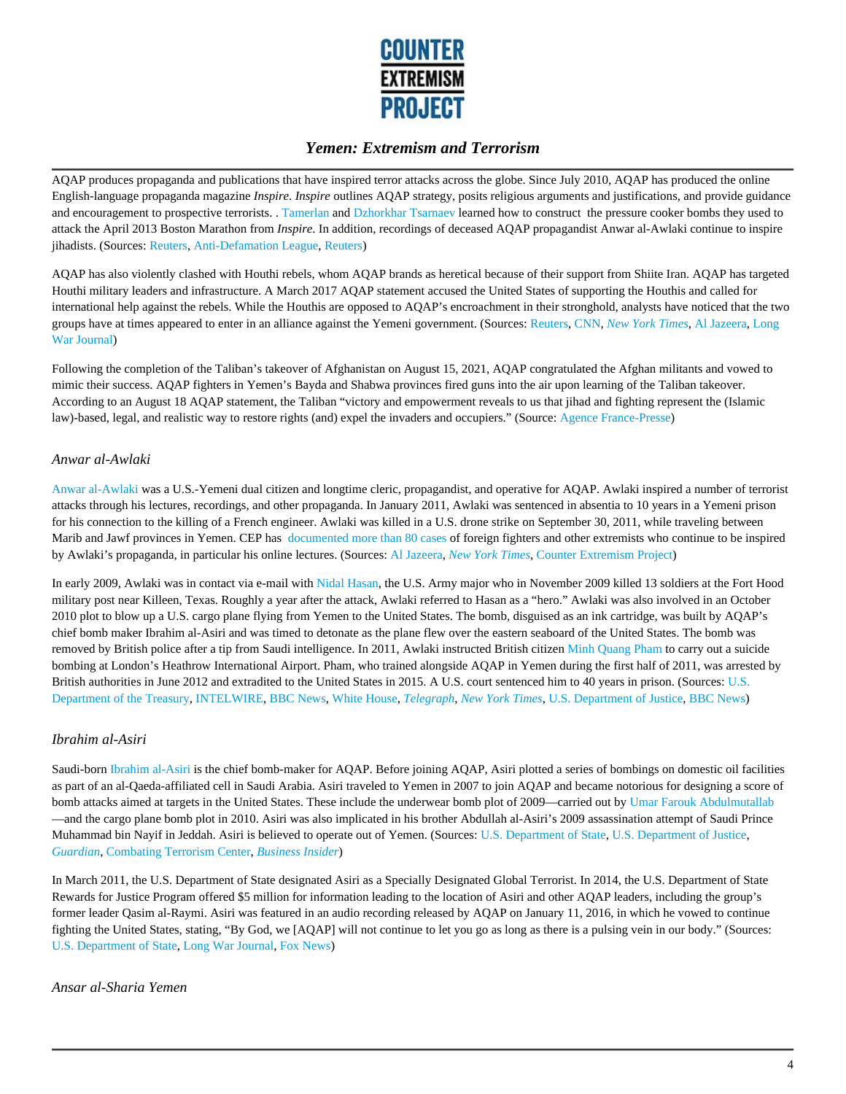

AQAP produces propaganda and publications that have inspired terror attacks across the globe. Since July 2010, AQAP has produced the online English-language propaganda magazine *Inspire*. *Inspire* outlines AQAP strategy, posits religious arguments and justifications, and provide guidance and encouragement to prospective terrorists. . Tamerlan and Dzhorkhar Tsarnaev learned how to construct the pressure cooker bombs they used to attack the April 2013 Boston Marathon from *Inspire*. In addition, recordings of deceased AQAP propagandist Anwar al-Awlaki continue to inspire jihadists. (Sources: Reuters, Anti-Defamation League, Reuters)

AQAP has also violently clashed with Houthi rebels, whom AQAP brands as heretical because of their support from Shiite Iran. AQAP has targeted Houthi military leaders and infrastructure. A March 2017 AQAP statement accused the United States of supporting the Houthis and called for international help against the rebels. While the Houthis are opposed to AQAP's encroachment in their stronghold, analysts have noticed that the two groups have at times appeared to enter in an alliance against the Yemeni government. (Sources: Reuters, CNN, *New York Times*, Al Jazeera, Long War Journal)

Following the completion of the Taliban's takeover of Afghanistan on August 15, 2021, AQAP congratulated the Afghan militants and vowed to mimic their success. AQAP fighters in Yemen's Bayda and Shabwa provinces fired guns into the air upon learning of the Taliban takeover. According to an August 18 AQAP statement, the Taliban "victory and empowerment reveals to us that jihad and fighting represent the (Islamic law)-based, legal, and realistic way to restore rights (and) expel the invaders and occupiers." (Source: Agence France-Presse)

#### *Anwar al-Awlaki*

Anwar al-Awlaki was a U.S.-Yemeni dual citizen and longtime cleric, propagandist, and operative for AQAP. Awlaki inspired a number of terrorist attacks through his lectures, recordings, and other propaganda. In January 2011, Awlaki was sentenced in absentia to 10 years in a Yemeni prison for his connection to the killing of a French engineer. Awlaki was killed in a U.S. drone strike on September 30, 2011, while traveling between Marib and Jawf provinces in Yemen. CEP has documented more than 80 cases of foreign fighters and other extremists who continue to be inspired by Awlaki's propaganda, in particular his online lectures. (Sources: Al Jazeera, *New York Times*, Counter Extremism Project)

In early 2009, Awlaki was in contact via e-mail with Nidal Hasan, the U.S. Army major who in November 2009 killed 13 soldiers at the Fort Hood military post near Killeen, Texas. Roughly a year after the attack, Awlaki referred to Hasan as a "hero." Awlaki was also involved in an October 2010 plot to blow up a U.S. cargo plane flying from Yemen to the United States. The bomb, disguised as an ink cartridge, was built by AQAP's chief bomb maker Ibrahim al-Asiri and was timed to detonate as the plane flew over the eastern seaboard of the United States. The bomb was removed by British police after a tip from Saudi intelligence. In 2011, Awlaki instructed British citizen Minh Quang Pham to carry out a suicide bombing at London's Heathrow International Airport. Pham, who trained alongside AQAP in Yemen during the first half of 2011, was arrested by British authorities in June 2012 and extradited to the United States in 2015. A U.S. court sentenced him to 40 years in prison. (Sources: U.S. Department of the Treasury, INTELWIRE, BBC News, White House, *Telegraph*, *New York Times*, U.S. Department of Justice, BBC News)

#### *Ibrahim al-Asiri*

Saudi-born Ibrahim al-Asiri is the chief bomb-maker for AQAP. Before joining AQAP, Asiri plotted a series of bombings on domestic oil facilities as part of an al-Qaeda-affiliated cell in Saudi Arabia. Asiri traveled to Yemen in 2007 to join AQAP and became notorious for designing a score of bomb attacks aimed at targets in the United States. These include the underwear bomb plot of 2009—carried out by Umar Farouk Abdulmutallab —and the cargo plane bomb plot in 2010. Asiri was also implicated in his brother Abdullah al-Asiri's 2009 assassination attempt of Saudi Prince Muhammad bin Nayif in Jeddah. Asiri is believed to operate out of Yemen. (Sources: U.S. Department of State, U.S. Department of Justice, *Guardian*, Combating Terrorism Center, *Business Insider*)

In March 2011, the U.S. Department of State designated Asiri as a Specially Designated Global Terrorist. In 2014, the U.S. Department of State Rewards for Justice Program offered \$5 million for information leading to the location of Asiri and other AQAP leaders, including the group's former leader Qasim al-Raymi. Asiri was featured in an audio recording released by AQAP on January 11, 2016, in which he vowed to continue fighting the United States, stating, "By God, we [AQAP] will not continue to let you go as long as there is a pulsing vein in our body." (Sources: U.S. Department of State, Long War Journal, Fox News)

#### *Ansar al-Sharia Yemen*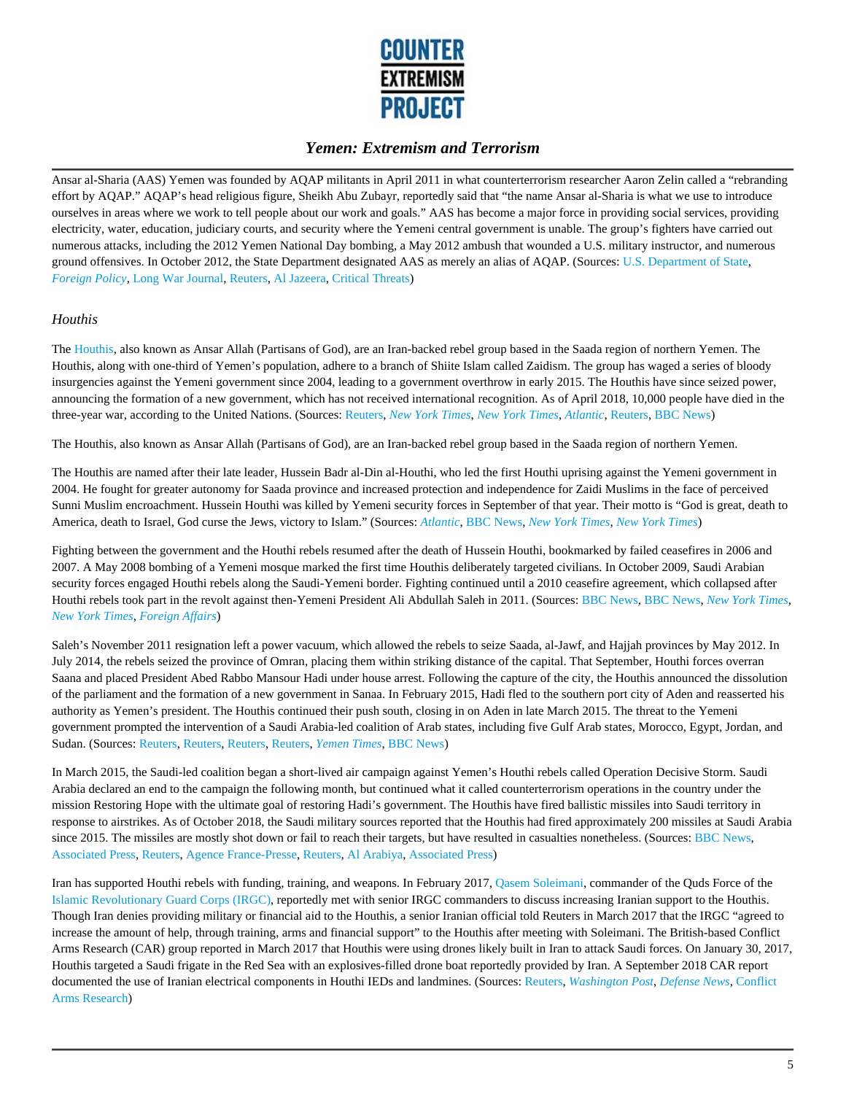

Ansar al-Sharia (AAS) Yemen was founded by AQAP militants in April 2011 in what counterterrorism researcher Aaron Zelin called a "rebranding effort by AQAP." AQAP's head religious figure, Sheikh Abu Zubayr, reportedly said that "the name Ansar al-Sharia is what we use to introduce ourselves in areas where we work to tell people about our work and goals." AAS has become a major force in providing social services, providing electricity, water, education, judiciary courts, and security where the Yemeni central government is unable. The group's fighters have carried out numerous attacks, including the 2012 Yemen National Day bombing, a May 2012 ambush that wounded a U.S. military instructor, and numerous ground offensives. In October 2012, the State Department designated AAS as merely an alias of AQAP. (Sources: U.S. Department of State, *Foreign Policy*, Long War Journal, Reuters, Al Jazeera, Critical Threats)

#### *Houthis*

The Houthis, also known as Ansar Allah (Partisans of God), are an Iran-backed rebel group based in the Saada region of northern Yemen. The Houthis, along with one-third of Yemen's population, adhere to a branch of Shiite Islam called Zaidism. The group has waged a series of bloody insurgencies against the Yemeni government since 2004, leading to a government overthrow in early 2015. The Houthis have since seized power, announcing the formation of a new government, which has not received international recognition. As of April 2018, 10,000 people have died in the three-year war, according to the United Nations. (Sources: Reuters, *New York Times*, *New York Times*, *Atlantic*, Reuters, BBC News)

The Houthis, also known as Ansar Allah (Partisans of God), are an Iran-backed rebel group based in the Saada region of northern Yemen.

The Houthis are named after their late leader, Hussein Badr al-Din al-Houthi, who led the first Houthi uprising against the Yemeni government in 2004. He fought for greater autonomy for Saada province and increased protection and independence for Zaidi Muslims in the face of perceived Sunni Muslim encroachment. Hussein Houthi was killed by Yemeni security forces in September of that year. Their motto is "God is great, death to America, death to Israel, God curse the Jews, victory to Islam." (Sources: *Atlantic*, BBC News, *New York Times*, *New York Times*)

Fighting between the government and the Houthi rebels resumed after the death of Hussein Houthi, bookmarked by failed ceasefires in 2006 and 2007. A May 2008 bombing of a Yemeni mosque marked the first time Houthis deliberately targeted civilians. In October 2009, Saudi Arabian security forces engaged Houthi rebels along the Saudi-Yemeni border. Fighting continued until a 2010 ceasefire agreement, which collapsed after Houthi rebels took part in the revolt against then-Yemeni President Ali Abdullah Saleh in 2011. (Sources: BBC News, BBC News, *New York Times*, *New York Times*, *Foreign Affairs*)

Saleh's November 2011 resignation left a power vacuum, which allowed the rebels to seize Saada, al-Jawf, and Hajjah provinces by May 2012. In July 2014, the rebels seized the province of Omran, placing them within striking distance of the capital. That September, Houthi forces overran Saana and placed President Abed Rabbo Mansour Hadi under house arrest. Following the capture of the city, the Houthis announced the dissolution of the parliament and the formation of a new government in Sanaa. In February 2015, Hadi fled to the southern port city of Aden and reasserted his authority as Yemen's president. The Houthis continued their push south, closing in on Aden in late March 2015. The threat to the Yemeni government prompted the intervention of a Saudi Arabia-led coalition of Arab states, including five Gulf Arab states, Morocco, Egypt, Jordan, and Sudan. (Sources: Reuters, Reuters, Reuters, Reuters, *Yemen Times*, BBC News)

In March 2015, the Saudi-led coalition began a short-lived air campaign against Yemen's Houthi rebels called Operation Decisive Storm. Saudi Arabia declared an end to the campaign the following month, but continued what it called counterterrorism operations in the country under the mission Restoring Hope with the ultimate goal of restoring Hadi's government. The Houthis have fired ballistic missiles into Saudi territory in response to airstrikes. As of October 2018, the Saudi military sources reported that the Houthis had fired approximately 200 missiles at Saudi Arabia since 2015. The missiles are mostly shot down or fail to reach their targets, but have resulted in casualties nonetheless. (Sources: BBC News, Associated Press, Reuters, Agence France-Presse, Reuters, Al Arabiya, Associated Press)

Iran has supported Houthi rebels with funding, training, and weapons. In February 2017, Qasem Soleimani, commander of the Quds Force of the Islamic Revolutionary Guard Corps (IRGC), reportedly met with senior IRGC commanders to discuss increasing Iranian support to the Houthis. Though Iran denies providing military or financial aid to the Houthis, a senior Iranian official told Reuters in March 2017 that the IRGC "agreed to increase the amount of help, through training, arms and financial support" to the Houthis after meeting with Soleimani. The British-based Conflict Arms Research (CAR) group reported in March 2017 that Houthis were using drones likely built in Iran to attack Saudi forces. On January 30, 2017, Houthis targeted a Saudi frigate in the Red Sea with an explosives-filled drone boat reportedly provided by Iran. A September 2018 CAR report documented the use of Iranian electrical components in Houthi IEDs and landmines. (Sources: Reuters, *Washington Post*, *Defense News*, Conflict Arms Research)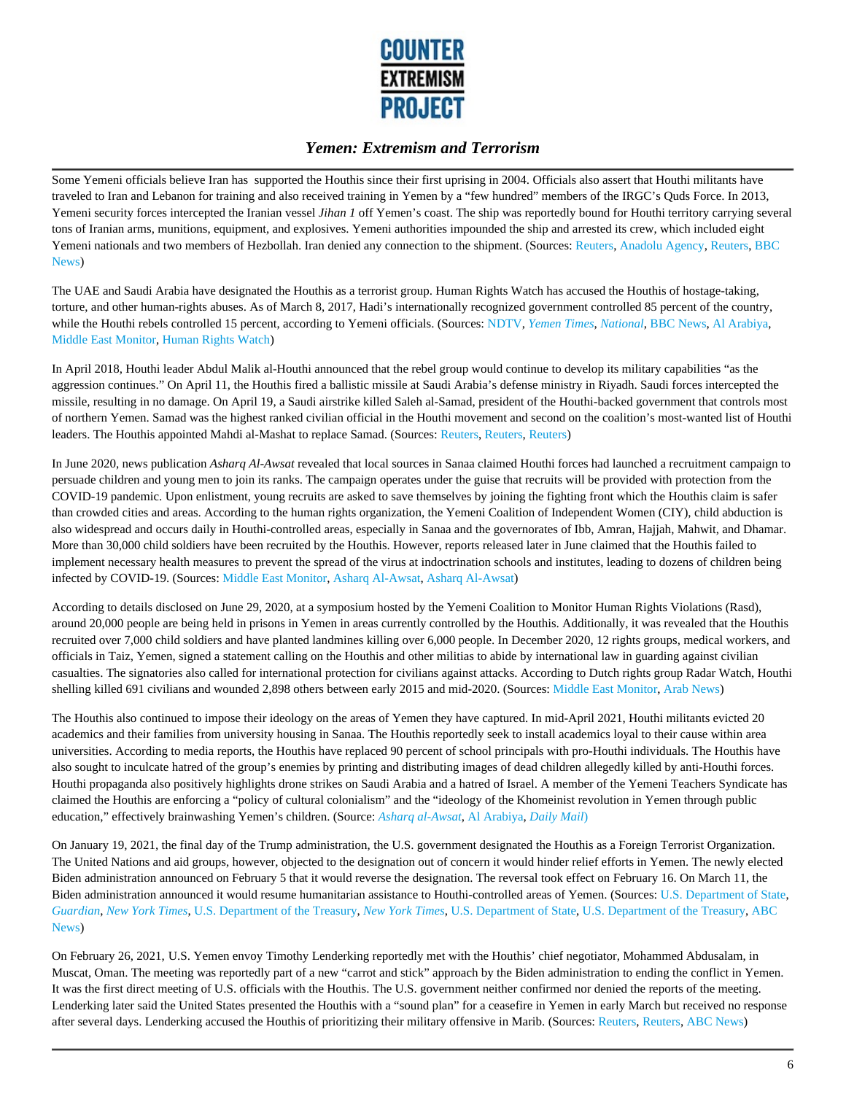

Some Yemeni officials believe Iran has supported the Houthis since their first uprising in 2004. Officials also assert that Houthi militants have traveled to Iran and Lebanon for training and also received training in Yemen by a "few hundred" members of the IRGC's Quds Force. In 2013, Yemeni security forces intercepted the Iranian vessel *Jihan 1* off Yemen's coast. The ship was reportedly bound for Houthi territory carrying several tons of Iranian arms, munitions, equipment, and explosives. Yemeni authorities impounded the ship and arrested its crew, which included eight Yemeni nationals and two members of Hezbollah. Iran denied any connection to the shipment. (Sources: Reuters, Anadolu Agency, Reuters, BBC News)

The UAE and Saudi Arabia have designated the Houthis as a terrorist group. Human Rights Watch has accused the Houthis of hostage-taking, torture, and other human-rights abuses. As of March 8, 2017, Hadi's internationally recognized government controlled 85 percent of the country, while the Houthi rebels controlled 15 percent, according to Yemeni officials. (Sources: NDTV, *Yemen Times*, *National*, BBC News, Al Arabiya, Middle East Monitor, Human Rights Watch)

In April 2018, Houthi leader Abdul Malik al-Houthi announced that the rebel group would continue to develop its military capabilities "as the aggression continues." On April 11, the Houthis fired a ballistic missile at Saudi Arabia's defense ministry in Riyadh. Saudi forces intercepted the missile, resulting in no damage. On April 19, a Saudi airstrike killed Saleh al-Samad, president of the Houthi-backed government that controls most of northern Yemen. Samad was the highest ranked civilian official in the Houthi movement and second on the coalition's most-wanted list of Houthi leaders. The Houthis appointed Mahdi al-Mashat to replace Samad. (Sources: Reuters, Reuters, Reuters)

In June 2020, news publication *Asharq Al-Awsat* revealed that local sources in Sanaa claimed Houthi forces had launched a recruitment campaign to persuade children and young men to join its ranks. The campaign operates under the guise that recruits will be provided with protection from the COVID-19 pandemic. Upon enlistment, young recruits are asked to save themselves by joining the fighting front which the Houthis claim is safer than crowded cities and areas. According to the human rights organization, the Yemeni Coalition of Independent Women (CIY), child abduction is also widespread and occurs daily in Houthi-controlled areas, especially in Sanaa and the governorates of Ibb, Amran, Hajjah, Mahwit, and Dhamar. More than 30,000 child soldiers have been recruited by the Houthis. However, reports released later in June claimed that the Houthis failed to implement necessary health measures to prevent the spread of the virus at indoctrination schools and institutes, leading to dozens of children being infected by COVID-19. (Sources: Middle East Monitor, Asharq Al-Awsat, Asharq Al-Awsat)

According to details disclosed on June 29, 2020, at a symposium hosted by the Yemeni Coalition to Monitor Human Rights Violations (Rasd), around 20,000 people are being held in prisons in Yemen in areas currently controlled by the Houthis. Additionally, it was revealed that the Houthis recruited over 7,000 child soldiers and have planted landmines killing over 6,000 people. In December 2020, 12 rights groups, medical workers, and officials in Taiz, Yemen, signed a statement calling on the Houthis and other militias to abide by international law in guarding against civilian casualties. The signatories also called for international protection for civilians against attacks. According to Dutch rights group Radar Watch, Houthi shelling killed 691 civilians and wounded 2,898 others between early 2015 and mid-2020. (Sources: Middle East Monitor, Arab News)

The Houthis also continued to impose their ideology on the areas of Yemen they have captured. In mid-April 2021, Houthi militants evicted 20 academics and their families from university housing in Sanaa. The Houthis reportedly seek to install academics loyal to their cause within area universities. According to media reports, the Houthis have replaced 90 percent of school principals with pro-Houthi individuals. The Houthis have also sought to inculcate hatred of the group's enemies by printing and distributing images of dead children allegedly killed by anti-Houthi forces. Houthi propaganda also positively highlights drone strikes on Saudi Arabia and a hatred of Israel. A member of the Yemeni Teachers Syndicate has claimed the Houthis are enforcing a "policy of cultural colonialism" and the "ideology of the Khomeinist revolution in Yemen through public education," effectively brainwashing Yemen's children. (Source: *Asharq al-Awsat*, Al Arabiya, *Daily Mail*)

On January 19, 2021, the final day of the Trump administration, the U.S. government designated the Houthis as a Foreign Terrorist Organization. The United Nations and aid groups, however, objected to the designation out of concern it would hinder relief efforts in Yemen. The newly elected Biden administration announced on February 5 that it would reverse the designation. The reversal took effect on February 16. On March 11, the Biden administration announced it would resume humanitarian assistance to Houthi-controlled areas of Yemen. (Sources: U.S. Department of State, *Guardian*, *New York Times*, U.S. Department of the Treasury, *New York Times*, U.S. Department of State, U.S. Department of the Treasury, ABC News)

On February 26, 2021, U.S. Yemen envoy Timothy Lenderking reportedly met with the Houthis' chief negotiator, Mohammed Abdusalam, in Muscat, Oman. The meeting was reportedly part of a new "carrot and stick" approach by the Biden administration to ending the conflict in Yemen. It was the first direct meeting of U.S. officials with the Houthis. The U.S. government neither confirmed nor denied the reports of the meeting. Lenderking later said the United States presented the Houthis with a "sound plan" for a ceasefire in Yemen in early March but received no response after several days. Lenderking accused the Houthis of prioritizing their military offensive in Marib. (Sources: Reuters, Reuters, ABC News)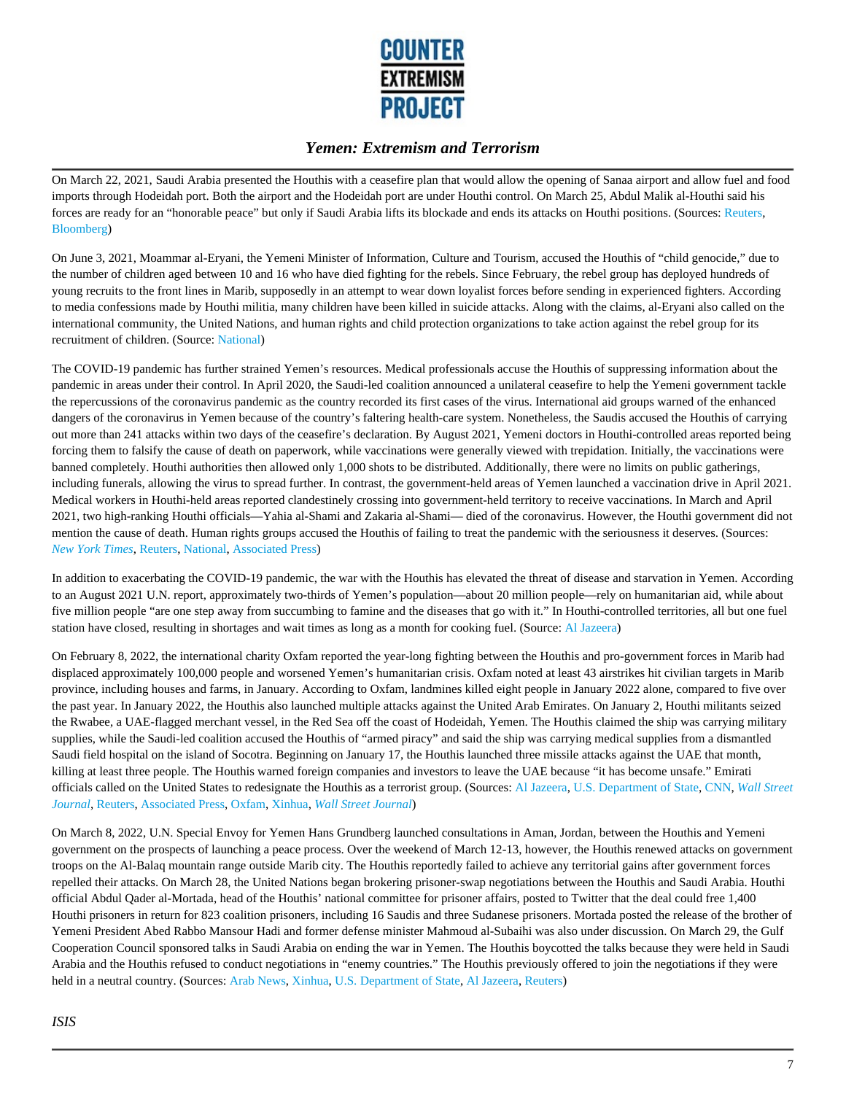

On March 22, 2021, Saudi Arabia presented the Houthis with a ceasefire plan that would allow the opening of Sanaa airport and allow fuel and food imports through Hodeidah port. Both the airport and the Hodeidah port are under Houthi control. On March 25, Abdul Malik al-Houthi said his forces are ready for an "honorable peace" but only if Saudi Arabia lifts its blockade and ends its attacks on Houthi positions. (Sources: Reuters, Bloomberg)

On June 3, 2021, Moammar al-Eryani, the Yemeni Minister of Information, Culture and Tourism, accused the Houthis of "child genocide," due to the number of children aged between 10 and 16 who have died fighting for the rebels. Since February, the rebel group has deployed hundreds of young recruits to the front lines in Marib, supposedly in an attempt to wear down loyalist forces before sending in experienced fighters. According to media confessions made by Houthi militia, many children have been killed in suicide attacks. Along with the claims, al-Eryani also called on the international community, the United Nations, and human rights and child protection organizations to take action against the rebel group for its recruitment of children. (Source: National)

The COVID-19 pandemic has further strained Yemen's resources. Medical professionals accuse the Houthis of suppressing information about the pandemic in areas under their control. In April 2020, the Saudi-led coalition announced a unilateral ceasefire to help the Yemeni government tackle the repercussions of the coronavirus pandemic as the country recorded its first cases of the virus. International aid groups warned of the enhanced dangers of the coronavirus in Yemen because of the country's faltering health-care system. Nonetheless, the Saudis accused the Houthis of carrying out more than 241 attacks within two days of the ceasefire's declaration. By August 2021, Yemeni doctors in Houthi-controlled areas reported being forcing them to falsify the cause of death on paperwork, while vaccinations were generally viewed with trepidation. Initially, the vaccinations were banned completely. Houthi authorities then allowed only 1,000 shots to be distributed. Additionally, there were no limits on public gatherings, including funerals, allowing the virus to spread further. In contrast, the government-held areas of Yemen launched a vaccination drive in April 2021. Medical workers in Houthi-held areas reported clandestinely crossing into government-held territory to receive vaccinations. In March and April 2021, two high-ranking Houthi officials—Yahia al-Shami and Zakaria al-Shami— died of the coronavirus. However, the Houthi government did not mention the cause of death. Human rights groups accused the Houthis of failing to treat the pandemic with the seriousness it deserves. (Sources: *New York Times*, Reuters, National, Associated Press)

In addition to exacerbating the COVID-19 pandemic, the war with the Houthis has elevated the threat of disease and starvation in Yemen. According to an August 2021 U.N. report, approximately two-thirds of Yemen's population—about 20 million people—rely on humanitarian aid, while about five million people "are one step away from succumbing to famine and the diseases that go with it." In Houthi-controlled territories, all but one fuel station have closed, resulting in shortages and wait times as long as a month for cooking fuel. (Source: Al Jazeera)

On February 8, 2022, the international charity Oxfam reported the year-long fighting between the Houthis and pro-government forces in Marib had displaced approximately 100,000 people and worsened Yemen's humanitarian crisis. Oxfam noted at least 43 airstrikes hit civilian targets in Marib province, including houses and farms, in January. According to Oxfam, landmines killed eight people in January 2022 alone, compared to five over the past year. In January 2022, the Houthis also launched multiple attacks against the United Arab Emirates. On January 2, Houthi militants seized the Rwabee, a UAE-flagged merchant vessel, in the Red Sea off the coast of Hodeidah, Yemen. The Houthis claimed the ship was carrying military supplies, while the Saudi-led coalition accused the Houthis of "armed piracy" and said the ship was carrying medical supplies from a dismantled Saudi field hospital on the island of Socotra. Beginning on January 17, the Houthis launched three missile attacks against the UAE that month, killing at least three people. The Houthis warned foreign companies and investors to leave the UAE because "it has become unsafe." Emirati officials called on the United States to redesignate the Houthis as a terrorist group. (Sources: Al Jazeera, U.S. Department of State, CNN, *Wall Street Journal*, Reuters, Associated Press, Oxfam, Xinhua, *Wall Street Journal*)

On March 8, 2022, U.N. Special Envoy for Yemen Hans Grundberg launched consultations in Aman, Jordan, between the Houthis and Yemeni government on the prospects of launching a peace process. Over the weekend of March 12-13, however, the Houthis renewed attacks on government troops on the Al-Balaq mountain range outside Marib city. The Houthis reportedly failed to achieve any territorial gains after government forces repelled their attacks. On March 28, the United Nations began brokering prisoner-swap negotiations between the Houthis and Saudi Arabia. Houthi official Abdul Qader al-Mortada, head of the Houthis' national committee for prisoner affairs, posted to Twitter that the deal could free 1,400 Houthi prisoners in return for 823 coalition prisoners, including 16 Saudis and three Sudanese prisoners. Mortada posted the release of the brother of Yemeni President Abed Rabbo Mansour Hadi and former defense minister Mahmoud al-Subaihi was also under discussion. On March 29, the Gulf Cooperation Council sponsored talks in Saudi Arabia on ending the war in Yemen. The Houthis boycotted the talks because they were held in Saudi Arabia and the Houthis refused to conduct negotiations in "enemy countries." The Houthis previously offered to join the negotiations if they were held in a neutral country. (Sources: Arab News, Xinhua, U.S. Department of State, Al Jazeera, Reuters)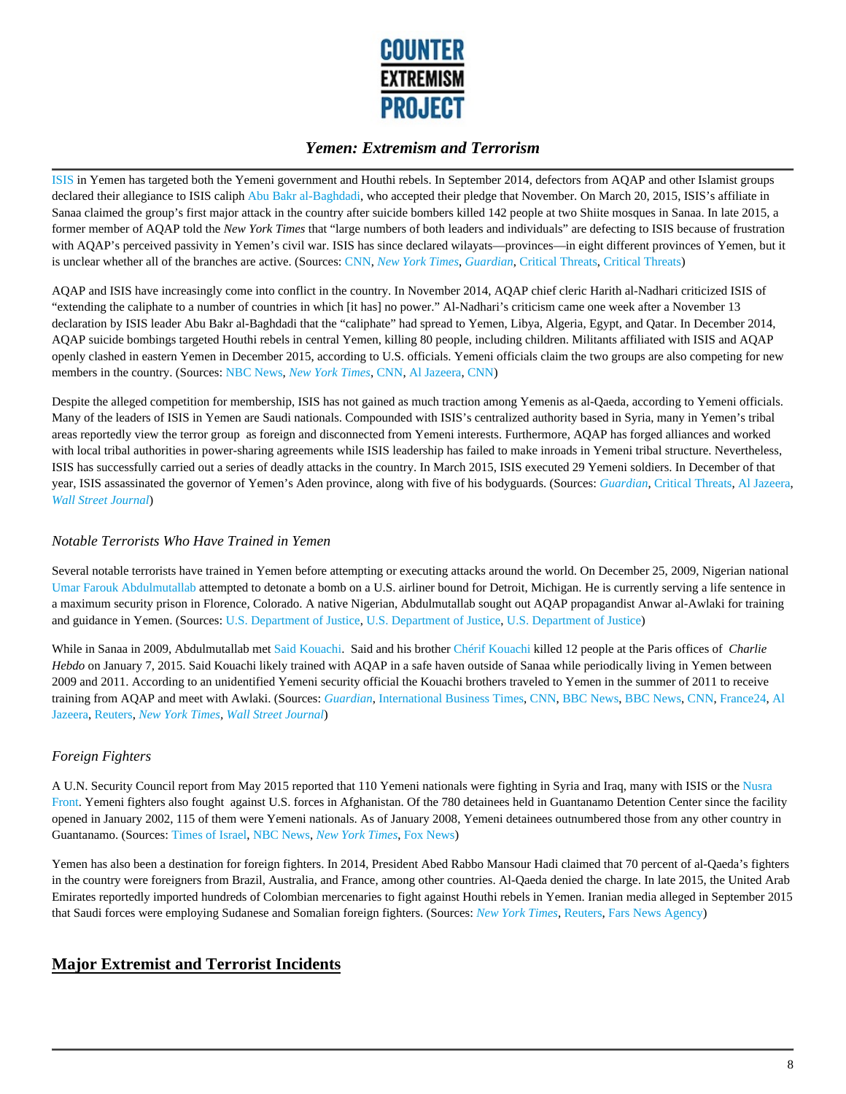

ISIS in Yemen has targeted both the Yemeni government and Houthi rebels. In September 2014, defectors from AQAP and other Islamist groups declared their allegiance to ISIS caliph Abu Bakr al-Baghdadi, who accepted their pledge that November. On March 20, 2015, ISIS's affiliate in Sanaa claimed the group's first major attack in the country after suicide bombers killed 142 people at two Shiite mosques in Sanaa. In late 2015, a former member of AQAP told the *New York Times* that "large numbers of both leaders and individuals" are defecting to ISIS because of frustration with AQAP's perceived passivity in Yemen's civil war. ISIS has since declared wilayats—provinces—in eight different provinces of Yemen, but it is unclear whether all of the branches are active. (Sources: CNN, *New York Times*, *Guardian*, Critical Threats, Critical Threats)

AQAP and ISIS have increasingly come into conflict in the country. In November 2014, AQAP chief cleric Harith al-Nadhari criticized ISIS of "extending the caliphate to a number of countries in which [it has] no power." Al-Nadhari's criticism came one week after a November 13 declaration by ISIS leader Abu Bakr al-Baghdadi that the "caliphate" had spread to Yemen, Libya, Algeria, Egypt, and Qatar. In December 2014, AQAP suicide bombings targeted Houthi rebels in central Yemen, killing 80 people, including children. Militants affiliated with ISIS and AQAP openly clashed in eastern Yemen in December 2015, according to U.S. officials. Yemeni officials claim the two groups are also competing for new members in the country. (Sources: NBC News, *New York Times*, CNN, Al Jazeera, CNN)

Despite the alleged competition for membership, ISIS has not gained as much traction among Yemenis as al-Qaeda, according to Yemeni officials. Many of the leaders of ISIS in Yemen are Saudi nationals. Compounded with ISIS's centralized authority based in Syria, many in Yemen's tribal areas reportedly view the terror group as foreign and disconnected from Yemeni interests. Furthermore, AQAP has forged alliances and worked with local tribal authorities in power-sharing agreements while ISIS leadership has failed to make inroads in Yemeni tribal structure. Nevertheless, ISIS has successfully carried out a series of deadly attacks in the country. In March 2015, ISIS executed 29 Yemeni soldiers. In December of that year, ISIS assassinated the governor of Yemen's Aden province, along with five of his bodyguards. (Sources: *Guardian*, Critical Threats, Al Jazeera, *Wall Street Journal*)

#### *Notable Terrorists Who Have Trained in Yemen*

Several notable terrorists have trained in Yemen before attempting or executing attacks around the world. On December 25, 2009, Nigerian national Umar Farouk Abdulmutallab attempted to detonate a bomb on a U.S. airliner bound for Detroit, Michigan. He is currently serving a life sentence in a maximum security prison in Florence, Colorado. A native Nigerian, Abdulmutallab sought out AQAP propagandist Anwar al-Awlaki for training and guidance in Yemen. (Sources: U.S. Department of Justice, U.S. Department of Justice, U.S. Department of Justice)

While in Sanaa in 2009, Abdulmutallab met Said Kouachi. Said and his brother Chérif Kouachi killed 12 people at the Paris offices of *Charlie Hebdo* on January 7, 2015. Said Kouachi likely trained with AQAP in a safe haven outside of Sanaa while periodically living in Yemen between 2009 and 2011. According to an unidentified Yemeni security official the Kouachi brothers traveled to Yemen in the summer of 2011 to receive training from AQAP and meet with Awlaki. (Sources: *Guardian*, International Business Times, CNN, BBC News, BBC News, CNN, France24, Al Jazeera, Reuters, *New York Times, Wall Street Journal*)

#### *Foreign Fighters*

A U.N. Security Council report from May 2015 reported that 110 Yemeni nationals were fighting in Syria and Iraq, many with ISIS or the Nusra Front. Yemeni fighters also fought against U.S. forces in Afghanistan. Of the 780 detainees held in Guantanamo Detention Center since the facility opened in January 2002, 115 of them were Yemeni nationals. As of January 2008, Yemeni detainees outnumbered those from any other country in Guantanamo. (Sources: Times of Israel, NBC News, *New York Times*, Fox News)

Yemen has also been a destination for foreign fighters. In 2014, President Abed Rabbo Mansour Hadi claimed that 70 percent of al-Qaeda's fighters in the country were foreigners from Brazil, Australia, and France, among other countries. Al-Qaeda denied the charge. In late 2015, the United Arab Emirates reportedly imported hundreds of Colombian mercenaries to fight against Houthi rebels in Yemen. Iranian media alleged in September 2015 that Saudi forces were employing Sudanese and Somalian foreign fighters. (Sources: *New York Times*, Reuters, Fars News Agency)

# **Major Extremist and Terrorist Incidents**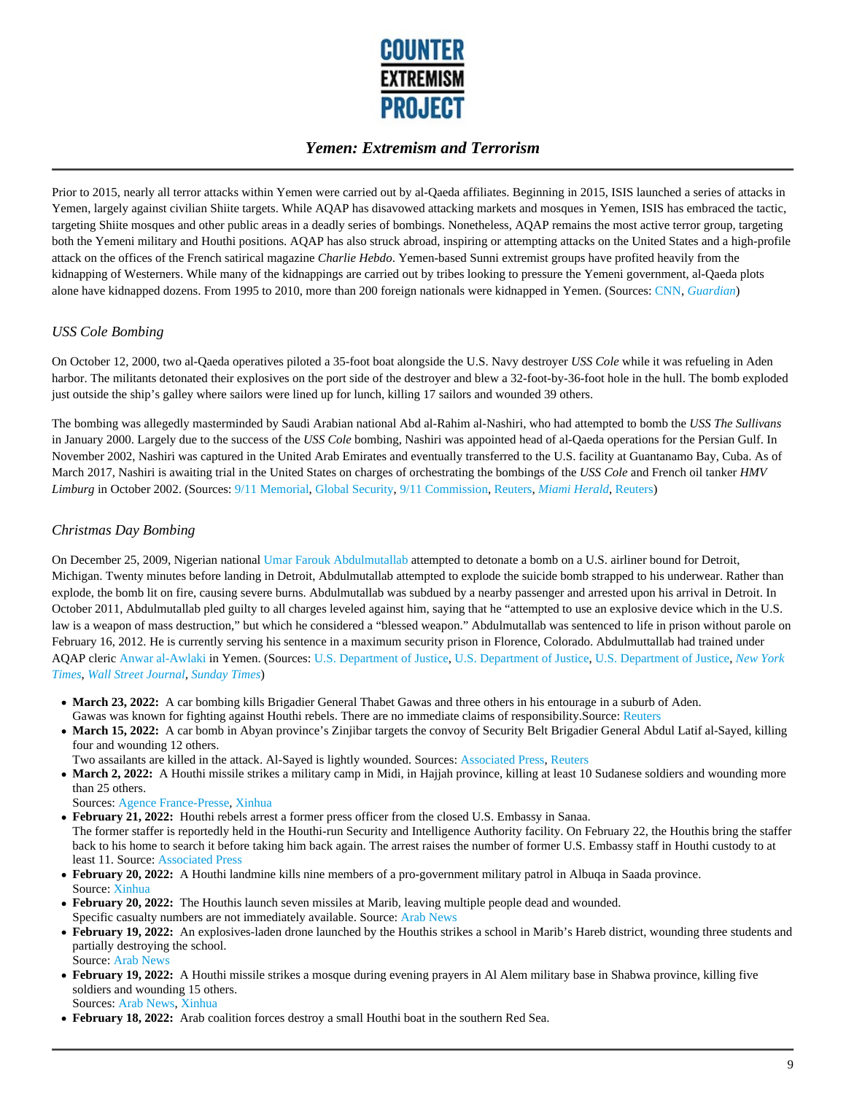

Prior to 2015, nearly all terror attacks within Yemen were carried out by al-Qaeda affiliates. Beginning in 2015, ISIS launched a series of attacks in Yemen, largely against civilian Shiite targets. While AQAP has disavowed attacking markets and mosques in Yemen, ISIS has embraced the tactic, targeting Shiite mosques and other public areas in a deadly series of bombings. Nonetheless, AQAP remains the most active terror group, targeting both the Yemeni military and Houthi positions. AQAP has also struck abroad, inspiring or attempting attacks on the United States and a high-profile attack on the offices of the French satirical magazine *Charlie Hebdo*. Yemen-based Sunni extremist groups have profited heavily from the kidnapping of Westerners. While many of the kidnappings are carried out by tribes looking to pressure the Yemeni government, al-Qaeda plots alone have kidnapped dozens. From 1995 to 2010, more than 200 foreign nationals were kidnapped in Yemen. (Sources: CNN, *Guardian*)

#### *USS Cole Bombing*

On October 12, 2000, two al-Qaeda operatives piloted a 35-foot boat alongside the U.S. Navy destroyer *USS Cole* while it was refueling in Aden harbor. The militants detonated their explosives on the port side of the destroyer and blew a 32-foot-by-36-foot hole in the hull. The bomb exploded just outside the ship's galley where sailors were lined up for lunch, killing 17 sailors and wounded 39 others.

The bombing was allegedly masterminded by Saudi Arabian national Abd al-Rahim al-Nashiri, who had attempted to bomb the *USS The Sullivans* in January 2000. Largely due to the success of the *USS Cole* bombing, Nashiri was appointed head of al-Qaeda operations for the Persian Gulf. In November 2002, Nashiri was captured in the United Arab Emirates and eventually transferred to the U.S. facility at Guantanamo Bay, Cuba. As of March 2017, Nashiri is awaiting trial in the United States on charges of orchestrating the bombings of the *USS Cole* and French oil tanker *HMV Limburg* in October 2002. (Sources: 9/11 Memorial, Global Security, 9/11 Commission, Reuters, *Miami Herald*, Reuters)

#### *Christmas Day Bombing*

On December 25, 2009, Nigerian national Umar Farouk Abdulmutallab attempted to detonate a bomb on a U.S. airliner bound for Detroit, Michigan. Twenty minutes before landing in Detroit, Abdulmutallab attempted to explode the suicide bomb strapped to his underwear. Rather than explode, the bomb lit on fire, causing severe burns. Abdulmutallab was subdued by a nearby passenger and arrested upon his arrival in Detroit. In October 2011, Abdulmutallab pled guilty to all charges leveled against him, saying that he "attempted to use an explosive device which in the U.S. law is a weapon of mass destruction," but which he considered a "blessed weapon." Abdulmutallab was sentenced to life in prison without parole on February 16, 2012. He is currently serving his sentence in a maximum security prison in Florence, Colorado. Abdulmuttallab had trained under AQAP cleric Anwar al-Awlaki in Yemen. (Sources: U.S. Department of Justice, U.S. Department of Justice, U.S. Department of Justice, *New York Times*, *Wall Street Journal, Sunday Times*)

- **March 23, 2022:** A car bombing kills Brigadier General Thabet Gawas and three others in his entourage in a suburb of Aden. Gawas was known for fighting against Houthi rebels. There are no immediate claims of responsibility. Source: Reuters
- March 15, 2022: A car bomb in Abyan province's Zinjibar targets the convoy of Security Belt Brigadier General Abdul Latif al-Sayed, killing four and wounding 12 others.

Two assailants are killed in the attack. Al-Sayed is lightly wounded. Sources: Associated Press, Reuters

• March 2, 2022: A Houthi missile strikes a military camp in Midi, in Hajjah province, killing at least 10 Sudanese soldiers and wounding more than 25 others.

Sources: Agence France-Presse, Xinhua

- **February 21, 2022:** Houthi rebels arrest a former press officer from the closed U.S. Embassy in Sanaa. The former staffer is reportedly held in the Houthi-run Security and Intelligence Authority facility. On February 22, the Houthis bring the staffer back to his home to search it before taking him back again. The arrest raises the number of former U.S. Embassy staff in Houthi custody to at least 11. Source: Associated Press
- **February 20, 2022:** A Houthi landmine kills nine members of a pro-government military patrol in Albuqa in Saada province. Source: Xinhua
- **February 20, 2022:** The Houthis launch seven missiles at Marib, leaving multiple people dead and wounded. Specific casualty numbers are not immediately available. Source: Arab News
- **February 19, 2022:** An explosives-laden drone launched by the Houthis strikes a school in Marib's Hareb district, wounding three students and partially destroying the school. Source: Arab News
- **February 19, 2022:** A Houthi missile strikes a mosque during evening prayers in Al Alem military base in Shabwa province, killing five soldiers and wounding 15 others. Sources: Arab News, Xinhua
- **February 18, 2022:** Arab coalition forces destroy a small Houthi boat in the southern Red Sea.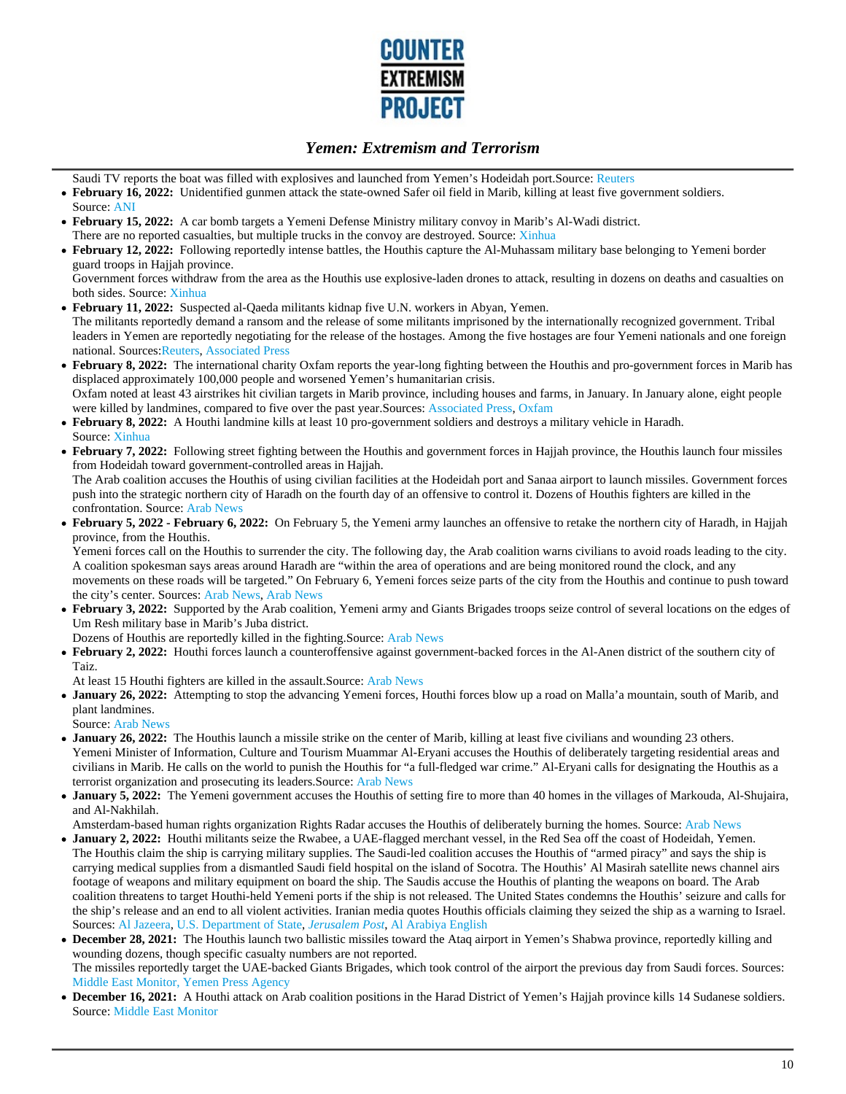

Saudi TV reports the boat was filled with explosives and launched from Yemen's Hodeidah port.Source: Reuters

- **February 16, 2022:** Unidentified gunmen attack the state-owned Safer oil field in Marib, killing at least five government soldiers.
- Source: ANI **February 15, 2022:** A car bomb targets a Yemeni Defense Ministry military convoy in Marib's Al-Wadi district.
- There are no reported casualties, but multiple trucks in the convoy are destroyed. Source: Xinhua
- **February 12, 2022:** Following reportedly intense battles, the Houthis capture the Al-Muhassam military base belonging to Yemeni border guard troops in Hajjah province.

Government forces withdraw from the area as the Houthis use explosive-laden drones to attack, resulting in dozens on deaths and casualties on both sides. Source: Xinhua

- **February 11, 2022:** Suspected al-Qaeda militants kidnap five U.N. workers in Abyan, Yemen. The militants reportedly demand a ransom and the release of some militants imprisoned by the internationally recognized government. Tribal leaders in Yemen are reportedly negotiating for the release of the hostages. Among the five hostages are four Yemeni nationals and one foreign national. Sources:Reuters, Associated Press
- **February 8, 2022:** The international charity Oxfam reports the year-long fighting between the Houthis and pro-government forces in Marib has displaced approximately 100,000 people and worsened Yemen's humanitarian crisis. Oxfam noted at least 43 airstrikes hit civilian targets in Marib province, including houses and farms, in January. In January alone, eight people were killed by landmines, compared to five over the past year.Sources: Associated Press, Oxfam
- **February 8, 2022:** A Houthi landmine kills at least 10 pro-government soldiers and destroys a military vehicle in Haradh. Source: Xinhua
- **February 7, 2022:** Following street fighting between the Houthis and government forces in Hajjah province, the Houthis launch four missiles from Hodeidah toward government-controlled areas in Hajjah.

The Arab coalition accuses the Houthis of using civilian facilities at the Hodeidah port and Sanaa airport to launch missiles. Government forces push into the strategic northern city of Haradh on the fourth day of an offensive to control it. Dozens of Houthis fighters are killed in the confrontation. Source: Arab News

**February 5, 2022 - February 6, 2022:** On February 5, the Yemeni army launches an offensive to retake the northern city of Haradh, in Hajjah province, from the Houthis.

Yemeni forces call on the Houthis to surrender the city. The following day, the Arab coalition warns civilians to avoid roads leading to the city. A coalition spokesman says areas around Haradh are "within the area of operations and are being monitored round the clock, and any movements on these roads will be targeted." On February 6, Yemeni forces seize parts of the city from the Houthis and continue to push toward the city's center. Sources: Arab News, Arab News

**February 3, 2022:** Supported by the Arab coalition, Yemeni army and Giants Brigades troops seize control of several locations on the edges of Um Resh military base in Marib's Juba district.

Dozens of Houthis are reportedly killed in the fighting.Source: Arab News

**February 2, 2022:** Houthi forces launch a counteroffensive against government-backed forces in the Al-Anen district of the southern city of Taiz.

At least 15 Houthi fighters are killed in the assault. Source: Arab News

**January 26, 2022:** Attempting to stop the advancing Yemeni forces, Houthi forces blow up a road on Malla'a mountain, south of Marib, and plant landmines.

Source: Arab News

- **January 26, 2022:** The Houthis launch a missile strike on the center of Marib, killing at least five civilians and wounding 23 others. Yemeni Minister of Information, Culture and Tourism Muammar Al-Eryani accuses the Houthis of deliberately targeting residential areas and civilians in Marib. He calls on the world to punish the Houthis for "a full-fledged war crime." Al-Eryani calls for designating the Houthis as a terrorist organization and prosecuting its leaders.Source: Arab News
- **January 5, 2022:** The Yemeni government accuses the Houthis of setting fire to more than 40 homes in the villages of Markouda, Al-Shujaira, and Al-Nakhilah.

Amsterdam-based human rights organization Rights Radar accuses the Houthis of deliberately burning the homes. Source: Arab News

- **January 2, 2022:** Houthi militants seize the Rwabee, a UAE-flagged merchant vessel, in the Red Sea off the coast of Hodeidah, Yemen. The Houthis claim the ship is carrying military supplies. The Saudi-led coalition accuses the Houthis of "armed piracy" and says the ship is carrying medical supplies from a dismantled Saudi field hospital on the island of Socotra. The Houthis' Al Masirah satellite news channel airs footage of weapons and military equipment on board the ship. The Saudis accuse the Houthis of planting the weapons on board. The Arab coalition threatens to target Houthi-held Yemeni ports if the ship is not released. The United States condemns the Houthis' seizure and calls for the ship's release and an end to all violent activities. Iranian media quotes Houthis officials claiming they seized the ship as a warning to Israel. Sources: Al Jazeera, U.S. Department of State, *Jerusalem Post*, Al Arabiya English
- **December 28, 2021:** The Houthis launch two ballistic missiles toward the Ataq airport in Yemen's Shabwa province, reportedly killing and wounding dozens, though specific casualty numbers are not reported. The missiles reportedly target the UAE-backed Giants Brigades, which took control of the airport the previous day from Saudi forces. Sources:
- Middle East Monitor, Yemen Press Agency **December 16, 2021:** A Houthi attack on Arab coalition positions in the Harad District of Yemen's Hajjah province kills 14 Sudanese soldiers. Source: Middle East Monitor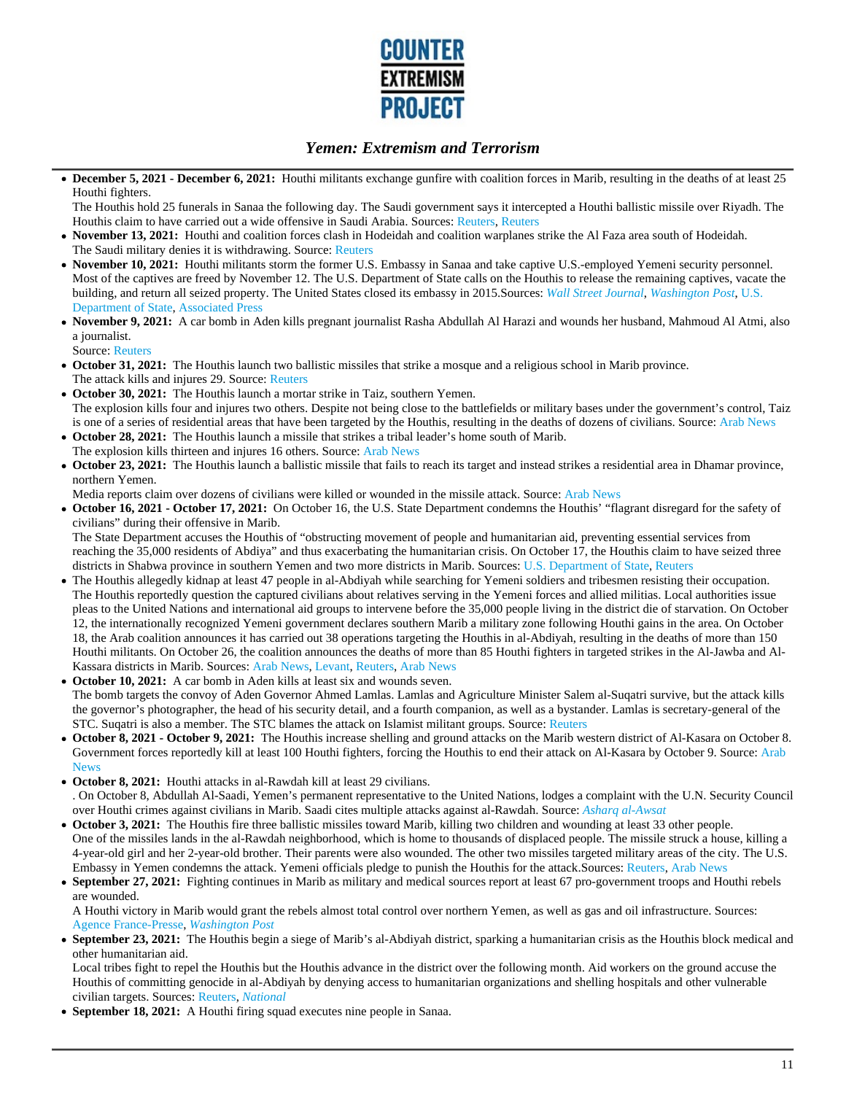

**December 5, 2021 - December 6, 2021:** Houthi militants exchange gunfire with coalition forces in Marib, resulting in the deaths of at least 25 Houthi fighters.

The Houthis hold 25 funerals in Sanaa the following day. The Saudi government says it intercepted a Houthi ballistic missile over Riyadh. The Houthis claim to have carried out a wide offensive in Saudi Arabia. Sources: Reuters, Reuters

- **November 13, 2021:** Houthi and coalition forces clash in Hodeidah and coalition warplanes strike the Al Faza area south of Hodeidah. The Saudi military denies it is withdrawing. Source: Reuters
- **November 10, 2021:** Houthi militants storm the former U.S. Embassy in Sanaa and take captive U.S.-employed Yemeni security personnel. Most of the captives are freed by November 12. The U.S. Department of State calls on the Houthis to release the remaining captives, vacate the building, and return all seized property. The United States closed its embassy in 2015.Sources: *Wall Street Journal*, *Washington Post*, U.S. Department of State, Associated Press
- **November 9, 2021:** A car bomb in Aden kills pregnant journalist Rasha Abdullah Al Harazi and wounds her husband, Mahmoud Al Atmi, also a journalist.

Source: Reuters

- **October 31, 2021:** The Houthis launch two ballistic missiles that strike a mosque and a religious school in Marib province. The attack kills and injures 29. Source: Reuters
- **October 30, 2021:** The Houthis launch a mortar strike in Taiz, southern Yemen. The explosion kills four and injures two others. Despite not being close to the battlefields or military bases under the government's control, Taiz is one of a series of residential areas that have been targeted by the Houthis, resulting in the deaths of dozens of civilians. Source: Arab News
- **October 28, 2021:** The Houthis launch a missile that strikes a tribal leader's home south of Marib. The explosion kills thirteen and injures 16 others. Source: Arab News
- **October 23, 2021:** The Houthis launch a ballistic missile that fails to reach its target and instead strikes a residential area in Dhamar province, northern Yemen.

Media reports claim over dozens of civilians were killed or wounded in the missile attack. Source: Arab News

**October 16, 2021 - October 17, 2021:** On October 16, the U.S. State Department condemns the Houthis' "flagrant disregard for the safety of civilians" during their offensive in Marib.

The State Department accuses the Houthis of "obstructing movement of people and humanitarian aid, preventing essential services from reaching the 35,000 residents of Abdiya" and thus exacerbating the humanitarian crisis. On October 17, the Houthis claim to have seized three districts in Shabwa province in southern Yemen and two more districts in Marib. Sources: U.S. Department of State, Reuters

- The Houthis allegedly kidnap at least 47 people in al-Abdiyah while searching for Yemeni soldiers and tribesmen resisting their occupation. The Houthis reportedly question the captured civilians about relatives serving in the Yemeni forces and allied militias. Local authorities issue pleas to the United Nations and international aid groups to intervene before the 35,000 people living in the district die of starvation. On October 12, the internationally recognized Yemeni government declares southern Marib a military zone following Houthi gains in the area. On October 18, the Arab coalition announces it has carried out 38 operations targeting the Houthis in al-Abdiyah, resulting in the deaths of more than 150 Houthi militants. On October 26, the coalition announces the deaths of more than 85 Houthi fighters in targeted strikes in the Al-Jawba and Al-Kassara districts in Marib. Sources: Arab News, Levant, Reuters, Arab News
- **October 10, 2021:** A car bomb in Aden kills at least six and wounds seven. The bomb targets the convoy of Aden Governor Ahmed Lamlas. Lamlas and Agriculture Minister Salem al-Suqatri survive, but the attack kills the governor's photographer, the head of his security detail, and a fourth companion, as well as a bystander. Lamlas is secretary-general of the STC. Suqatri is also a member. The STC blames the attack on Islamist militant groups. Source: Reuters
- **October 8, 2021 October 9, 2021:** The Houthis increase shelling and ground attacks on the Marib western district of Al-Kasara on October 8. Government forces reportedly kill at least 100 Houthi fighters, forcing the Houthis to end their attack on Al-Kasara by October 9. Source: Arab **News**
- **October 8, 2021:** Houthi attacks in al-Rawdah kill at least 29 civilians.

. On October 8, Abdullah Al-Saadi, Yemen's permanent representative to the United Nations, lodges a complaint with the U.N. Security Council over Houthi crimes against civilians in Marib. Saadi cites multiple attacks against al-Rawdah. Source: *Asharq al-Awsat*

- **October 3, 2021:** The Houthis fire three ballistic missiles toward Marib, killing two children and wounding at least 33 other people. One of the missiles lands in the al-Rawdah neighborhood, which is home to thousands of displaced people. The missile struck a house, killing a 4-year-old girl and her 2-year-old brother. Their parents were also wounded. The other two missiles targeted military areas of the city. The U.S. Embassy in Yemen condemns the attack. Yemeni officials pledge to punish the Houthis for the attack. Sources: Reuters, Arab News
- **September 27, 2021:** Fighting continues in Marib as military and medical sources report at least 67 pro-government troops and Houthi rebels are wounded.

A Houthi victory in Marib would grant the rebels almost total control over northern Yemen, as well as gas and oil infrastructure. Sources: Agence France-Presse, *Washington Post*

**September 23, 2021:** The Houthis begin a siege of Marib's al-Abdiyah district, sparking a humanitarian crisis as the Houthis block medical and other humanitarian aid.

Local tribes fight to repel the Houthis but the Houthis advance in the district over the following month. Aid workers on the ground accuse the Houthis of committing genocide in al-Abdiyah by denying access to humanitarian organizations and shelling hospitals and other vulnerable civilian targets. Sources: Reuters, *National*

**September 18, 2021:** A Houthi firing squad executes nine people in Sanaa.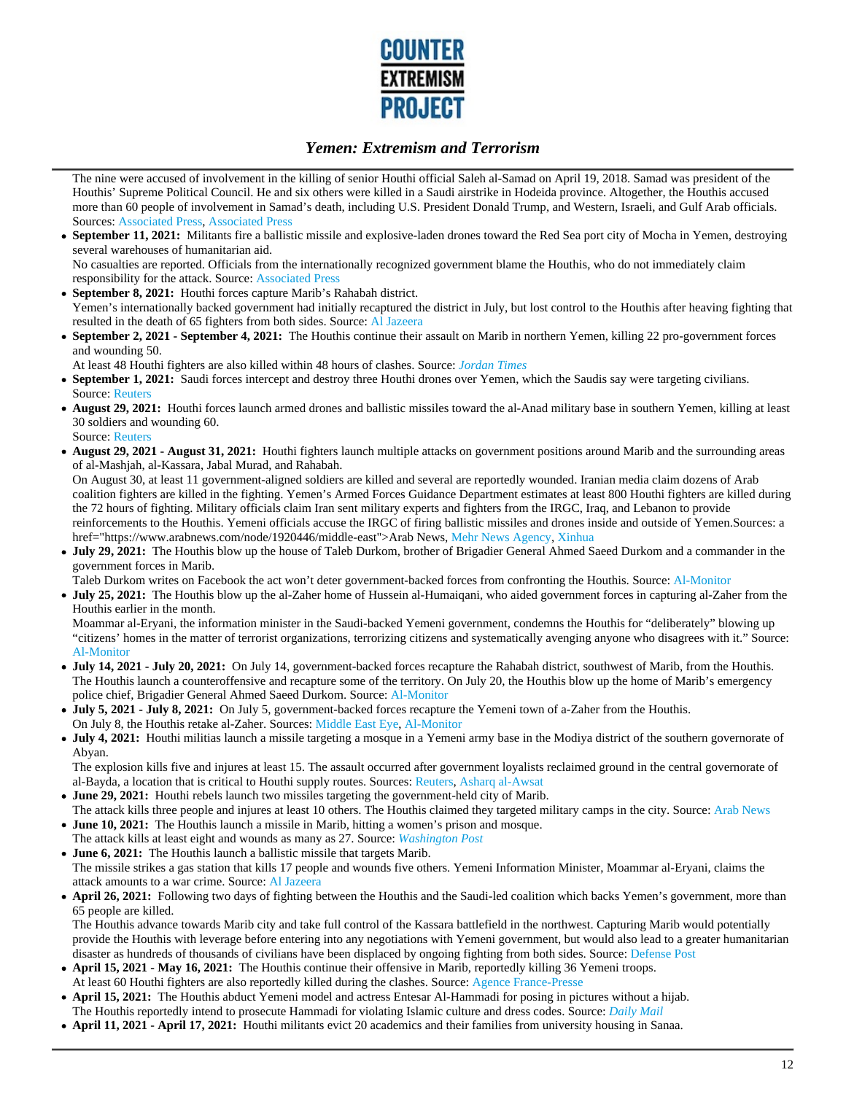

The nine were accused of involvement in the killing of senior Houthi official Saleh al-Samad on April 19, 2018. Samad was president of the Houthis' Supreme Political Council. He and six others were killed in a Saudi airstrike in Hodeida province. Altogether, the Houthis accused more than 60 people of involvement in Samad's death, including U.S. President Donald Trump, and Western, Israeli, and Gulf Arab officials. Sources: Associated Press, Associated Press

**September 11, 2021:** Militants fire a ballistic missile and explosive-laden drones toward the Red Sea port city of Mocha in Yemen, destroying  $\bullet$ several warehouses of humanitarian aid.

No casualties are reported. Officials from the internationally recognized government blame the Houthis, who do not immediately claim responsibility for the attack. Source: Associated Press

- **September 8, 2021:** Houthi forces capture Marib's Rahabah district.  $\bullet$ Yemen's internationally backed government had initially recaptured the district in July, but lost control to the Houthis after heaving fighting that resulted in the death of 65 fighters from both sides. Source: Al Jazeera
- **September 2, 2021 September 4, 2021:** The Houthis continue their assault on Marib in northern Yemen, killing 22 pro-government forces and wounding 50.
- At least 48 Houthi fighters are also killed within 48 hours of clashes. Source: *Jordan Times*
- **September 1, 2021:** Saudi forces intercept and destroy three Houthi drones over Yemen, which the Saudis say were targeting civilians. Source: Reuters
- **August 29, 2021:** Houthi forces launch armed drones and ballistic missiles toward the al-Anad military base in southern Yemen, killing at least 30 soldiers and wounding 60.
- Source: Reuters
- **August 29, 2021 August 31, 2021:** Houthi fighters launch multiple attacks on government positions around Marib and the surrounding areas of al-Mashjah, al-Kassara, Jabal Murad, and Rahabah.

On August 30, at least 11 government-aligned soldiers are killed and several are reportedly wounded. Iranian media claim dozens of Arab coalition fighters are killed in the fighting. Yemen's Armed Forces Guidance Department estimates at least 800 Houthi fighters are killed during the 72 hours of fighting. Military officials claim Iran sent military experts and fighters from the IRGC, Iraq, and Lebanon to provide reinforcements to the Houthis. Yemeni officials accuse the IRGC of firing ballistic missiles and drones inside and outside of Yemen.Sources: a href="https://www.arabnews.com/node/1920446/middle-east">Arab News, Mehr News Agency, Xinhua

 $\bullet$ **July 29, 2021:** The Houthis blow up the house of Taleb Durkom, brother of Brigadier General Ahmed Saeed Durkom and a commander in the government forces in Marib.

Taleb Durkom writes on Facebook the act won't deter government-backed forces from confronting the Houthis. Source: Al-Monitor

**July 25, 2021:** The Houthis blow up the al-Zaher home of Hussein al-Humaiqani, who aided government forces in capturing al-Zaher from the Houthis earlier in the month.

Moammar al-Eryani, the information minister in the Saudi-backed Yemeni government, condemns the Houthis for "deliberately" blowing up "citizens' homes in the matter of terrorist organizations, terrorizing citizens and systematically avenging anyone who disagrees with it." Source: Al-Monitor

- **July 14, 2021 July 20, 2021:** On July 14, government-backed forces recapture the Rahabah district, southwest of Marib, from the Houthis. The Houthis launch a counteroffensive and recapture some of the territory. On July 20, the Houthis blow up the home of Marib's emergency police chief, Brigadier General Ahmed Saeed Durkom. Source: Al-Monitor
- **July 5, 2021 July 8, 2021:** On July 5, government-backed forces recapture the Yemeni town of a-Zaher from the Houthis. On July 8, the Houthis retake al-Zaher. Sources: Middle East Eye, Al-Monitor
- **July 4, 2021:** Houthi militias launch a missile targeting a mosque in a Yemeni army base in the Modiya district of the southern governorate of Abyan.

The explosion kills five and injures at least 15. The assault occurred after government loyalists reclaimed ground in the central governorate of al-Bayda, a location that is critical to Houthi supply routes. Sources: Reuters, Asharq al-Awsat

- **June 29, 2021:** Houthi rebels launch two missiles targeting the government-held city of Marib.
- The attack kills three people and injures at least 10 others. The Houthis claimed they targeted military camps in the city. Source: Arab News **June 10, 2021:** The Houthis launch a missile in Marib, hitting a women's prison and mosque.
- The attack kills at least eight and wounds as many as 27. Source: *Washington Post*

**June 6, 2021:** The Houthis launch a ballistic missile that targets Marib. The missile strikes a gas station that kills 17 people and wounds five others. Yemeni Information Minister, Moammar al-Eryani, claims the attack amounts to a war crime. Source: Al Jazeera

**April 26, 2021:** Following two days of fighting between the Houthis and the Saudi-led coalition which backs Yemen's government, more than 65 people are killed.

The Houthis advance towards Marib city and take full control of the Kassara battlefield in the northwest. Capturing Marib would potentially provide the Houthis with leverage before entering into any negotiations with Yemeni government, but would also lead to a greater humanitarian disaster as hundreds of thousands of civilians have been displaced by ongoing fighting from both sides. Source: Defense Post

- **April 15, 2021 May 16, 2021:** The Houthis continue their offensive in Marib, reportedly killing 36 Yemeni troops. At least 60 Houthi fighters are also reportedly killed during the clashes. Source: Agence France-Presse
- **April 15, 2021:** The Houthis abduct Yemeni model and actress Entesar Al-Hammadi for posing in pictures without a hijab. The Houthis reportedly intend to prosecute Hammadi for violating Islamic culture and dress codes. Source: *Daily Mail*
- **April 11, 2021 April 17, 2021:** Houthi militants evict 20 academics and their families from university housing in Sanaa.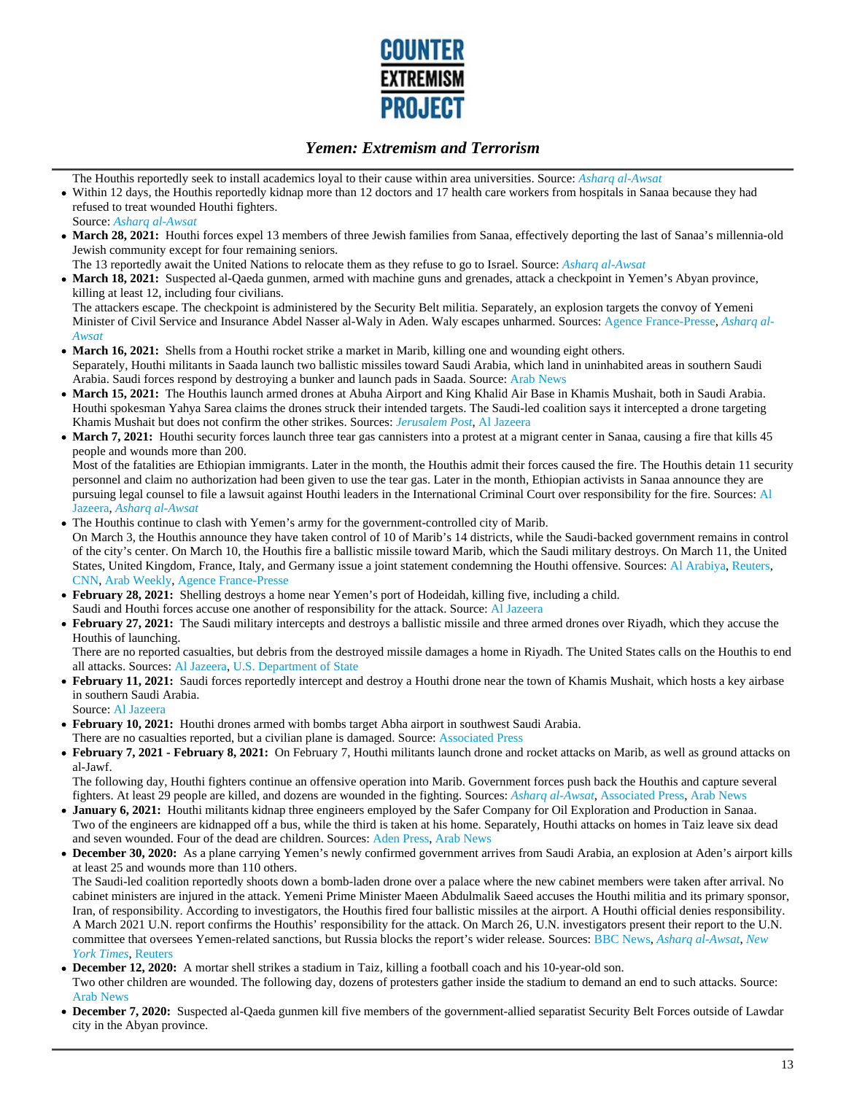

The Houthis reportedly seek to install academics loyal to their cause within area universities. Source: *Asharq al-Awsat*

- Within 12 days, the Houthis reportedly kidnap more than 12 doctors and 17 health care workers from hospitals in Sanaa because they had refused to treat wounded Houthi fighters.
- Source: *Asharq al-Awsat*
- **March 28, 2021:** Houthi forces expel 13 members of three Jewish families from Sanaa, effectively deporting the last of Sanaa's millennia-old Jewish community except for four remaining seniors.
- The 13 reportedly await the United Nations to relocate them as they refuse to go to Israel. Source: *Asharq al-Awsat*
- **March 18, 2021:** Suspected al-Qaeda gunmen, armed with machine guns and grenades, attack a checkpoint in Yemen's Abyan province, killing at least 12, including four civilians.

The attackers escape. The checkpoint is administered by the Security Belt militia. Separately, an explosion targets the convoy of Yemeni Minister of Civil Service and Insurance Abdel Nasser al-Waly in Aden. Waly escapes unharmed. Sources: Agence France-Presse, *Asharq al-Awsat*

- **March 16, 2021:** Shells from a Houthi rocket strike a market in Marib, killing one and wounding eight others.  $\bullet$ Separately, Houthi militants in Saada launch two ballistic missiles toward Saudi Arabia, which land in uninhabited areas in southern Saudi Arabia. Saudi forces respond by destroying a bunker and launch pads in Saada. Source: Arab News
- **March 15, 2021:** The Houthis launch armed drones at Abuha Airport and King Khalid Air Base in Khamis Mushait, both in Saudi Arabia.  $\bullet$ Houthi spokesman Yahya Sarea claims the drones struck their intended targets. The Saudi-led coalition says it intercepted a drone targeting Khamis Mushait but does not confirm the other strikes. Sources: *Jerusalem Post*, Al Jazeera
- **March 7, 2021:** Houthi security forces launch three tear gas cannisters into a protest at a migrant center in Sanaa, causing a fire that kills 45 people and wounds more than 200.

Most of the fatalities are Ethiopian immigrants. Later in the month, the Houthis admit their forces caused the fire. The Houthis detain 11 security personnel and claim no authorization had been given to use the tear gas. Later in the month, Ethiopian activists in Sanaa announce they are pursuing legal counsel to file a lawsuit against Houthi leaders in the International Criminal Court over responsibility for the fire. Sources: Al Jazeera, *Asharq al-Awsat*

- The Houthis continue to clash with Yemen's army for the government-controlled city of Marib. On March 3, the Houthis announce they have taken control of 10 of Marib's 14 districts, while the Saudi-backed government remains in control of the city's center. On March 10, the Houthis fire a ballistic missile toward Marib, which the Saudi military destroys. On March 11, the United States, United Kingdom, France, Italy, and Germany issue a joint statement condemning the Houthi offensive. Sources: Al Arabiya, Reuters, CNN, Arab Weekly, Agence France-Presse
- **February 28, 2021:** Shelling destroys a home near Yemen's port of Hodeidah, killing five, including a child.
- Saudi and Houthi forces accuse one another of responsibility for the attack. Source: Al Jazeera
- **February 27, 2021:** The Saudi military intercepts and destroys a ballistic missile and three armed drones over Riyadh, which they accuse the Houthis of launching.

There are no reported casualties, but debris from the destroyed missile damages a home in Riyadh. The United States calls on the Houthis to end all attacks. Sources: Al Jazeera, U.S. Department of State

- **February 11, 2021:** Saudi forces reportedly intercept and destroy a Houthi drone near the town of Khamis Mushait, which hosts a key airbase in southern Saudi Arabia.
	- Source: Al Jazeera
- **February 10, 2021:** Houthi drones armed with bombs target Abha airport in southwest Saudi Arabia.
- There are no casualties reported, but a civilian plane is damaged. Source: Associated Press
- **February 7, 2021 February 8, 2021:** On February 7, Houthi militants launch drone and rocket attacks on Marib, as well as ground attacks on al-Jawf.

The following day, Houthi fighters continue an offensive operation into Marib. Government forces push back the Houthis and capture several fighters. At least 29 people are killed, and dozens are wounded in the fighting. Sources: *Asharq al-Awsat*, Associated Press, Arab News

- **January 6, 2021:** Houthi militants kidnap three engineers employed by the Safer Company for Oil Exploration and Production in Sanaa. Two of the engineers are kidnapped off a bus, while the third is taken at his home. Separately, Houthi attacks on homes in Taiz leave six dead and seven wounded. Four of the dead are children. Sources: Aden Press, Arab News
- **December 30, 2020:** As a plane carrying Yemen's newly confirmed government arrives from Saudi Arabia, an explosion at Aden's airport kills at least 25 and wounds more than 110 others.

The Saudi-led coalition reportedly shoots down a bomb-laden drone over a palace where the new cabinet members were taken after arrival. No cabinet ministers are injured in the attack. Yemeni Prime Minister Maeen Abdulmalik Saeed accuses the Houthi militia and its primary sponsor, Iran, of responsibility. According to investigators, the Houthis fired four ballistic missiles at the airport. A Houthi official denies responsibility. A March 2021 U.N. report confirms the Houthis' responsibility for the attack. On March 26, U.N. investigators present their report to the U.N. committee that oversees Yemen-related sanctions, but Russia blocks the report's wider release. Sources: BBC News, *Asharq al-Awsat*, *New York Times*, Reuters

- **December 12, 2020:** A mortar shell strikes a stadium in Taiz, killing a football coach and his 10-year-old son. Two other children are wounded. The following day, dozens of protesters gather inside the stadium to demand an end to such attacks. Source: Arab News
- **December 7, 2020:** Suspected al-Qaeda gunmen kill five members of the government-allied separatist Security Belt Forces outside of Lawdar city in the Abyan province.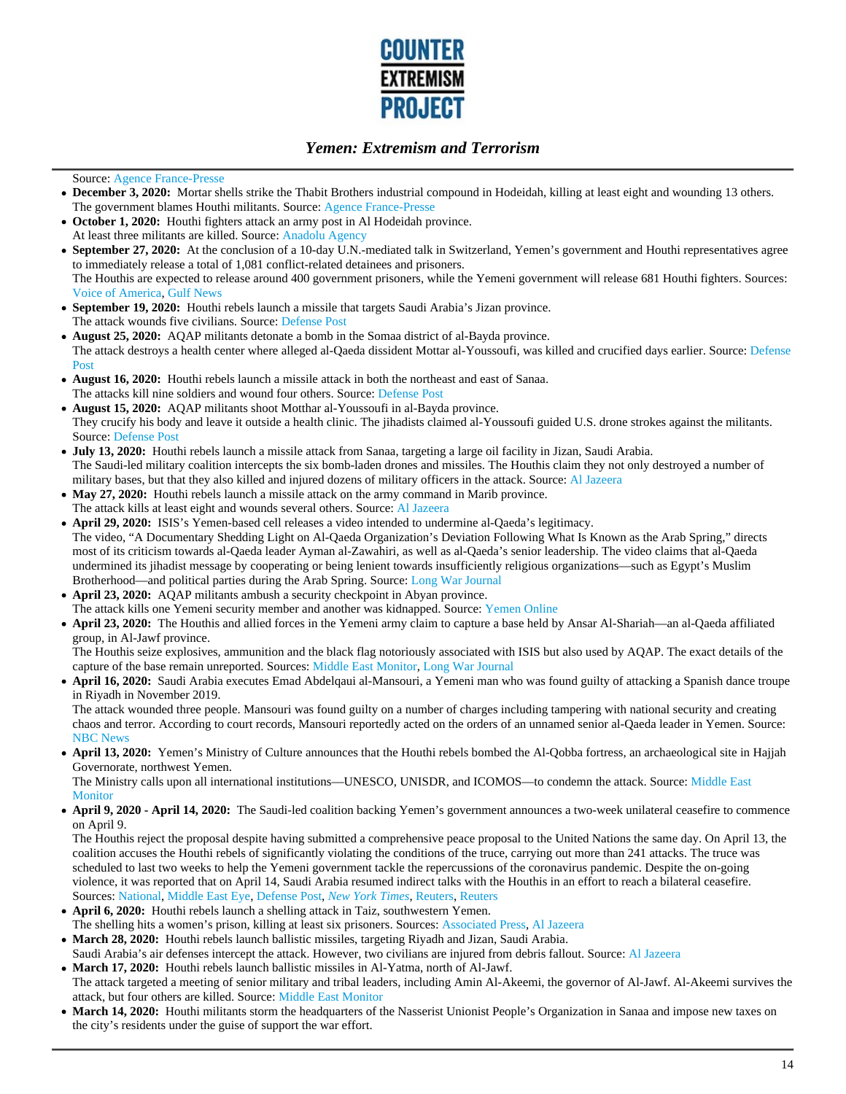

#### Source: Agence France-Presse

- **December 3, 2020:** Mortar shells strike the Thabit Brothers industrial compound in Hodeidah, killing at least eight and wounding 13 others. The government blames Houthi militants. Source: Agence France-Presse
- **October 1, 2020:** Houthi fighters attack an army post in Al Hodeidah province. At least three militants are killed. Source: Anadolu Agency
- **September 27, 2020:** At the conclusion of a 10-day U.N.-mediated talk in Switzerland, Yemen's government and Houthi representatives agree to immediately release a total of 1,081 conflict-related detainees and prisoners. The Houthis are expected to release around 400 government prisoners, while the Yemeni government will release 681 Houthi fighters. Sources: Voice of America, Gulf News
- **September 19, 2020:** Houthi rebels launch a missile that targets Saudi Arabia's Jizan province. The attack wounds five civilians. Source: Defense Post
- **August 25, 2020:** AQAP militants detonate a bomb in the Somaa district of al-Bayda province. The attack destroys a health center where alleged al-Qaeda dissident Mottar al-Youssoufi, was killed and crucified days earlier. Source: Defense Post
- **August 16, 2020:** Houthi rebels launch a missile attack in both the northeast and east of Sanaa. The attacks kill nine soldiers and wound four others. Source: Defense Post
- **August 15, 2020:** AQAP militants shoot Motthar al-Youssoufi in al-Bayda province. They crucify his body and leave it outside a health clinic. The jihadists claimed al-Youssoufi guided U.S. drone strokes against the militants. Source: Defense Post
- **July 13, 2020:** Houthi rebels launch a missile attack from Sanaa, targeting a large oil facility in Jizan, Saudi Arabia. The Saudi-led military coalition intercepts the six bomb-laden drones and missiles. The Houthis claim they not only destroyed a number of military bases, but that they also killed and injured dozens of military officers in the attack. Source: Al Jazeera
- **May 27, 2020:** Houthi rebels launch a missile attack on the army command in Marib province. The attack kills at least eight and wounds several others. Source: Al Jazeera
- **April 29, 2020:** ISIS's Yemen-based cell releases a video intended to undermine al-Qaeda's legitimacy. The video, "A Documentary Shedding Light on Al-Qaeda Organization's Deviation Following What Is Known as the Arab Spring," directs most of its criticism towards al-Qaeda leader Ayman al-Zawahiri, as well as al-Qaeda's senior leadership. The video claims that al-Qaeda undermined its jihadist message by cooperating or being lenient towards insufficiently religious organizations—such as Egypt's Muslim Brotherhood—and political parties during the Arab Spring. Source: Long War Journal
- **April 23, 2020:** AQAP militants ambush a security checkpoint in Abyan province. The attack kills one Yemeni security member and another was kidnapped. Source: Yemen Online
- **April 23, 2020:** The Houthis and allied forces in the Yemeni army claim to capture a base held by Ansar Al-Shariah—an al-Qaeda affiliated group, in Al-Jawf province.

The Houthis seize explosives, ammunition and the black flag notoriously associated with ISIS but also used by AQAP. The exact details of the capture of the base remain unreported. Sources: Middle East Monitor, Long War Journal

**April 16, 2020:** Saudi Arabia executes Emad Abdelqaui al-Mansouri, a Yemeni man who was found guilty of attacking a Spanish dance troupe in Riyadh in November 2019.

The attack wounded three people. Mansouri was found guilty on a number of charges including tampering with national security and creating chaos and terror. According to court records, Mansouri reportedly acted on the orders of an unnamed senior al-Qaeda leader in Yemen. Source: NBC News

**April 13, 2020:** Yemen's Ministry of Culture announces that the Houthi rebels bombed the Al-Qobba fortress, an archaeological site in Hajjah Governorate, northwest Yemen.

The Ministry calls upon all international institutions—UNESCO, UNISDR, and ICOMOS—to condemn the attack. Source: Middle East **Monitor** 

**April 9, 2020 - April 14, 2020:** The Saudi-led coalition backing Yemen's government announces a two-week unilateral ceasefire to commence on April 9.

The Houthis reject the proposal despite having submitted a comprehensive peace proposal to the United Nations the same day. On April 13, the coalition accuses the Houthi rebels of significantly violating the conditions of the truce, carrying out more than 241 attacks. The truce was scheduled to last two weeks to help the Yemeni government tackle the repercussions of the coronavirus pandemic. Despite the on-going violence, it was reported that on April 14, Saudi Arabia resumed indirect talks with the Houthis in an effort to reach a bilateral ceasefire. Sources: National, Middle East Eye, Defense Post, *New York Times*, Reuters, Reuters

- **April 6, 2020:** Houthi rebels launch a shelling attack in Taiz, southwestern Yemen. The shelling hits a women's prison, killing at least six prisoners. Sources: Associated Press, Al Jazeera
- **March 28, 2020:** Houthi rebels launch ballistic missiles, targeting Riyadh and Jizan, Saudi Arabia.
- Saudi Arabia's air defenses intercept the attack. However, two civilians are injured from debris fallout. Source: Al Jazeera
- **March 17, 2020:** Houthi rebels launch ballistic missiles in Al-Yatma, north of Al-Jawf. The attack targeted a meeting of senior military and tribal leaders, including Amin Al-Akeemi, the governor of Al-Jawf. Al-Akeemi survives the attack, but four others are killed. Source: Middle East Monitor
- **March 14, 2020:** Houthi militants storm the headquarters of the Nasserist Unionist People's Organization in Sanaa and impose new taxes on the city's residents under the guise of support the war effort.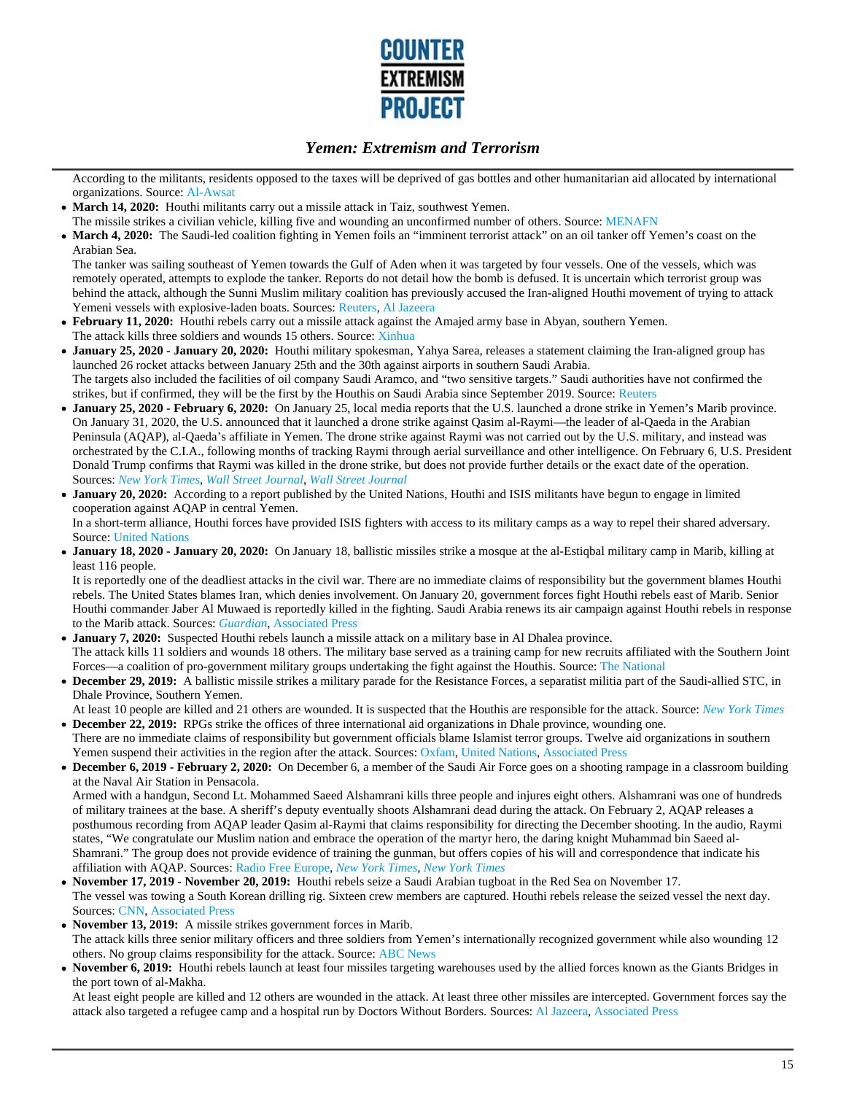

According to the militants, residents opposed to the taxes will be deprived of gas bottles and other humanitarian aid allocated by international organizations. Source: Al-Awsat

- **March 14, 2020:** Houthi militants carry out a missile attack in Taiz, southwest Yemen.
- The missile strikes a civilian vehicle, killing five and wounding an unconfirmed number of others. Source: MENAFN
- **March 4, 2020:** The Saudi-led coalition fighting in Yemen foils an "imminent terrorist attack" on an oil tanker off Yemen's coast on the Arabian Sea.

The tanker was sailing southeast of Yemen towards the Gulf of Aden when it was targeted by four vessels. One of the vessels, which was remotely operated, attempts to explode the tanker. Reports do not detail how the bomb is defused. It is uncertain which terrorist group was behind the attack, although the Sunni Muslim military coalition has previously accused the Iran-aligned Houthi movement of trying to attack Yemeni vessels with explosive-laden boats. Sources: Reuters, Al Jazeera

- **February 11, 2020:** Houthi rebels carry out a missile attack against the Amajed army base in Abyan, southern Yemen.  $\bullet$ The attack kills three soldiers and wounds 15 others. Source: Xinhua
- **January 25, 2020 January 20, 2020:** Houthi military spokesman, Yahya Sarea, releases a statement claiming the Iran-aligned group has launched 26 rocket attacks between January 25th and the 30th against airports in southern Saudi Arabia. The targets also included the facilities of oil company Saudi Aramco, and "two sensitive targets." Saudi authorities have not confirmed the strikes, but if confirmed, they will be the first by the Houthis on Saudi Arabia since September 2019. Source: Reuters
- **January 25, 2020 February 6, 2020:** On January 25, local media reports that the U.S. launched a drone strike in Yemen's Marib province. On January 31, 2020, the U.S. announced that it launched a drone strike against Qasim al-Raymi—the leader of al-Qaeda in the Arabian Peninsula (AQAP), al-Qaeda's affiliate in Yemen. The drone strike against Raymi was not carried out by the U.S. military, and instead was orchestrated by the C.I.A., following months of tracking Raymi through aerial surveillance and other intelligence. On February 6, U.S. President Donald Trump confirms that Raymi was killed in the drone strike, but does not provide further details or the exact date of the operation. Sources: *New York Times*, *Wall Street Journal*, *Wall Street Journal*
- **January 20, 2020:** According to a report published by the United Nations, Houthi and ISIS militants have begun to engage in limited cooperation against AQAP in central Yemen.

In a short-term alliance, Houthi forces have provided ISIS fighters with access to its military camps as a way to repel their shared adversary. Source: United Nations

**January 18, 2020 - January 20, 2020:** On January 18, ballistic missiles strike a mosque at the al-Estiqbal military camp in Marib, killing at least 116 people.

It is reportedly one of the deadliest attacks in the civil war. There are no immediate claims of responsibility but the government blames Houthi rebels. The United States blames Iran, which denies involvement. On January 20, government forces fight Houthi rebels east of Marib. Senior Houthi commander Jaber Al Muwaed is reportedly killed in the fighting. Saudi Arabia renews its air campaign against Houthi rebels in response to the Marib attack. Sources: *Guardian*, Associated Press

- **January 7, 2020:** Suspected Houthi rebels launch a missile attack on a military base in Al Dhalea province. The attack kills 11 soldiers and wounds 18 others. The military base served as a training camp for new recruits affiliated with the Southern Joint Forces—a coalition of pro-government military groups undertaking the fight against the Houthis. Source: The National
- **December 29, 2019:** A ballistic missile strikes a military parade for the Resistance Forces, a separatist militia part of the Saudi-allied STC, in Dhale Province, Southern Yemen.
- At least 10 people are killed and 21 others are wounded. It is suspected that the Houthis are responsible for the attack. Source: *New York Times* **December 22, 2019:** RPGs strike the offices of three international aid organizations in Dhale province, wounding one.
- There are no immediate claims of responsibility but government officials blame Islamist terror groups. Twelve aid organizations in southern Yemen suspend their activities in the region after the attack. Sources: Oxfam, United Nations, Associated Press
- **December 6, 2019 February 2, 2020:** On December 6, a member of the Saudi Air Force goes on a shooting rampage in a classroom building at the Naval Air Station in Pensacola.

Armed with a handgun, Second Lt. Mohammed Saeed Alshamrani kills three people and injures eight others. Alshamrani was one of hundreds of military trainees at the base. A sheriff's deputy eventually shoots Alshamrani dead during the attack. On February 2, AQAP releases a posthumous recording from AQAP leader Qasim al-Raymi that claims responsibility for directing the December shooting. In the audio, Raymi states, "We congratulate our Muslim nation and embrace the operation of the martyr hero, the daring knight Muhammad bin Saeed al-Shamrani." The group does not provide evidence of training the gunman, but offers copies of his will and correspondence that indicate his affiliation with AQAP. Sources: Radio Free Europe, *New York Times*, *New York Times*

- **November 17, 2019 November 20, 2019:** Houthi rebels seize a Saudi Arabian tugboat in the Red Sea on November 17. The vessel was towing a South Korean drilling rig. Sixteen crew members are captured. Houthi rebels release the seized vessel the next day. Sources: CNN, Associated Press
- **November 13, 2019:** A missile strikes government forces in Marib. The attack kills three senior military officers and three soldiers from Yemen's internationally recognized government while also wounding 12 others. No group claims responsibility for the attack. Source: ABC News
- **November 6, 2019:** Houthi rebels launch at least four missiles targeting warehouses used by the allied forces known as the Giants Bridges in the port town of al-Makha.

At least eight people are killed and 12 others are wounded in the attack. At least three other missiles are intercepted. Government forces say the attack also targeted a refugee camp and a hospital run by Doctors Without Borders. Sources: Al Jazeera, Associated Press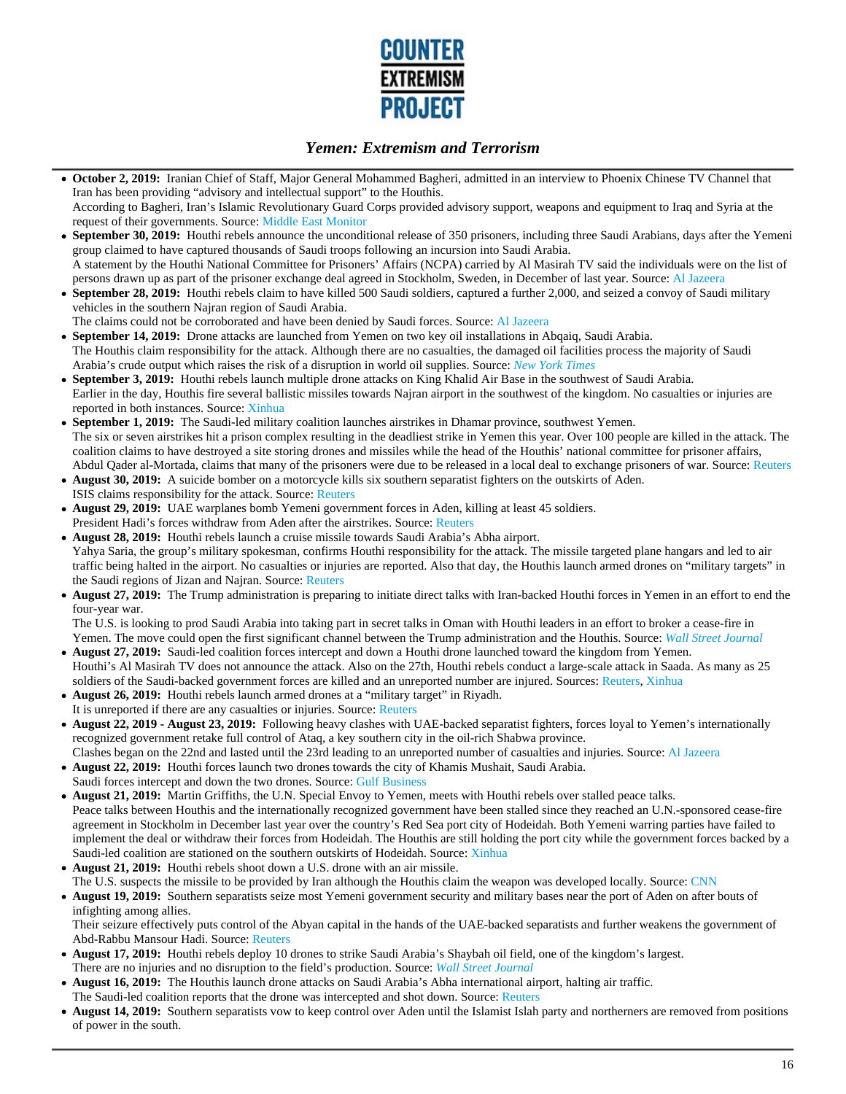

**October 2, 2019:** Iranian Chief of Staff, Major General Mohammed Bagheri, admitted in an interview to Phoenix Chinese TV Channel that Iran has been providing "advisory and intellectual support" to the Houthis.

According to Bagheri, Iran's Islamic Revolutionary Guard Corps provided advisory support, weapons and equipment to Iraq and Syria at the request of their governments. Source: Middle East Monitor

- **September 30, 2019:** Houthi rebels announce the unconditional release of 350 prisoners, including three Saudi Arabians, days after the Yemeni  $\bullet$ group claimed to have captured thousands of Saudi troops following an incursion into Saudi Arabia. A statement by the Houthi National Committee for Prisoners' Affairs (NCPA) carried by Al Masirah TV said the individuals were on the list of
- persons drawn up as part of the prisoner exchange deal agreed in Stockholm, Sweden, in December of last year. Source: Al Jazeera **September 28, 2019:** Houthi rebels claim to have killed 500 Saudi soldiers, captured a further 2,000, and seized a convoy of Saudi military  $\bullet$ vehicles in the southern Najran region of Saudi Arabia.
- The claims could not be corroborated and have been denied by Saudi forces. Source: Al Jazeera
- **September 14, 2019:** Drone attacks are launched from Yemen on two key oil installations in Abqaiq, Saudi Arabia.  $\bullet$ The Houthis claim responsibility for the attack. Although there are no casualties, the damaged oil facilities process the majority of Saudi Arabia's crude output which raises the risk of a disruption in world oil supplies. Source: *New York Times*
- **September 3, 2019:** Houthi rebels launch multiple drone attacks on King Khalid Air Base in the southwest of Saudi Arabia. Earlier in the day, Houthis fire several ballistic missiles towards Najran airport in the southwest of the kingdom. No casualties or injuries are reported in both instances. Source: Xinhua
- **September 1, 2019:** The Saudi-led military coalition launches airstrikes in Dhamar province, southwest Yemen. The six or seven airstrikes hit a prison complex resulting in the deadliest strike in Yemen this year. Over 100 people are killed in the attack. The coalition claims to have destroyed a site storing drones and missiles while the head of the Houthis' national committee for prisoner affairs, Abdul Qader al-Mortada, claims that many of the prisoners were due to be released in a local deal to exchange prisoners of war. Source: Reuters
- **August 30, 2019:** A suicide bomber on a motorcycle kills six southern separatist fighters on the outskirts of Aden. ISIS claims responsibility for the attack. Source: Reuters
- **August 29, 2019:** UAE warplanes bomb Yemeni government forces in Aden, killing at least 45 soldiers. President Hadi's forces withdraw from Aden after the airstrikes. Source: Reuters
- **August 28, 2019:** Houthi rebels launch a cruise missile towards Saudi Arabia's Abha airport. Yahya Saria, the group's military spokesman, confirms Houthi responsibility for the attack. The missile targeted plane hangars and led to air traffic being halted in the airport. No casualties or injuries are reported. Also that day, the Houthis launch armed drones on "military targets" in the Saudi regions of Jizan and Najran. Source: Reuters
- **August 27, 2019:** The Trump administration is preparing to initiate direct talks with Iran-backed Houthi forces in Yemen in an effort to end the four-year war.

The U.S. is looking to prod Saudi Arabia into taking part in secret talks in Oman with Houthi leaders in an effort to broker a cease-fire in Yemen. The move could open the first significant channel between the Trump administration and the Houthis. Source: *Wall Street Journal*

- **August 27, 2019:** Saudi-led coalition forces intercept and down a Houthi drone launched toward the kingdom from Yemen. Houthi's Al Masirah TV does not announce the attack. Also on the 27th, Houthi rebels conduct a large-scale attack in Saada. As many as 25 soldiers of the Saudi-backed government forces are killed and an unreported number are injured. Sources: Reuters, Xinhua
- **August 26, 2019:** Houthi rebels launch armed drones at a "military target" in Riyadh. It is unreported if there are any casualties or injuries. Source: Reuters
- **August 22, 2019 August 23, 2019:** Following heavy clashes with UAE-backed separatist fighters, forces loyal to Yemen's internationally recognized government retake full control of Ataq, a key southern city in the oil-rich Shabwa province.
- Clashes began on the 22nd and lasted until the 23rd leading to an unreported number of casualties and injuries. Source: Al Jazeera
- **August 22, 2019:** Houthi forces launch two drones towards the city of Khamis Mushait, Saudi Arabia. Saudi forces intercept and down the two drones. Source: Gulf Business
- **August 21, 2019:** Martin Griffiths, the U.N. Special Envoy to Yemen, meets with Houthi rebels over stalled peace talks. Peace talks between Houthis and the internationally recognized government have been stalled since they reached an U.N.-sponsored cease-fire agreement in Stockholm in December last year over the country's Red Sea port city of Hodeidah. Both Yemeni warring parties have failed to implement the deal or withdraw their forces from Hodeidah. The Houthis are still holding the port city while the government forces backed by a Saudi-led coalition are stationed on the southern outskirts of Hodeidah. Source: Xinhua
- **August 21, 2019:** Houthi rebels shoot down a U.S. drone with an air missile.
- The U.S. suspects the missile to be provided by Iran although the Houthis claim the weapon was developed locally. Source: CNN
- **August 19, 2019:** Southern separatists seize most Yemeni government security and military bases near the port of Aden on after bouts of infighting among allies.

Their seizure effectively puts control of the Abyan capital in the hands of the UAE-backed separatists and further weakens the government of Abd-Rabbu Mansour Hadi. Source: Reuters

- **August 17, 2019:** Houthi rebels deploy 10 drones to strike Saudi Arabia's Shaybah oil field, one of the kingdom's largest. There are no injuries and no disruption to the field's production. Source: *Wall Street Journal*
- **August 16, 2019:** The Houthis launch drone attacks on Saudi Arabia's Abha international airport, halting air traffic. The Saudi-led coalition reports that the drone was intercepted and shot down. Source: Reuters
- August 14, 2019: Southern separatists vow to keep control over Aden until the Islamist Islah party and northerners are removed from positions
- of power in the south.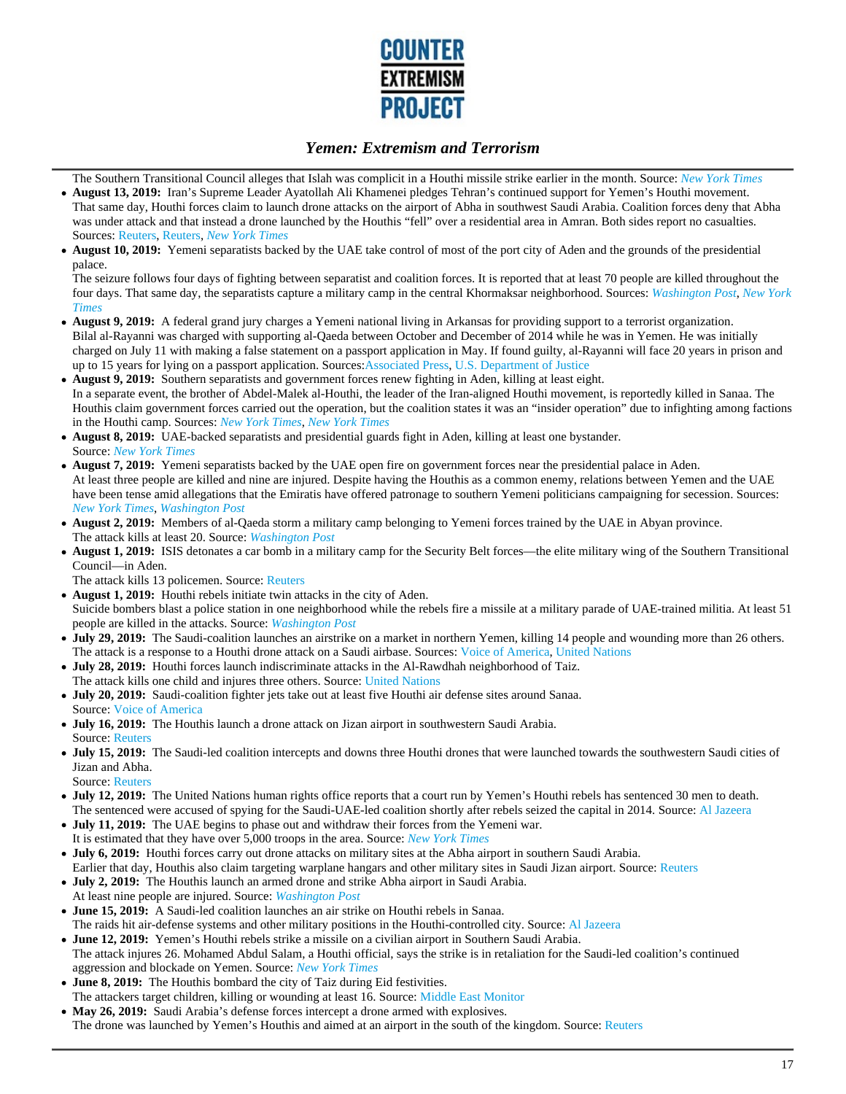

The Southern Transitional Council alleges that Islah was complicit in a Houthi missile strike earlier in the month. Source: *New York Times*

- **August 13, 2019:** Iran's Supreme Leader Ayatollah Ali Khamenei pledges Tehran's continued support for Yemen's Houthi movement. That same day, Houthi forces claim to launch drone attacks on the airport of Abha in southwest Saudi Arabia. Coalition forces deny that Abha was under attack and that instead a drone launched by the Houthis "fell" over a residential area in Amran. Both sides report no casualties. Sources: Reuters, Reuters, *New York Times*
- **August 10, 2019:** Yemeni separatists backed by the UAE take control of most of the port city of Aden and the grounds of the presidential palace.

The seizure follows four days of fighting between separatist and coalition forces. It is reported that at least 70 people are killed throughout the four days. That same day, the separatists capture a military camp in the central Khormaksar neighborhood. Sources: *Washington Post*, *New York Times*

- **August 9, 2019:** A federal grand jury charges a Yemeni national living in Arkansas for providing support to a terrorist organization. Bilal al-Rayanni was charged with supporting al-Qaeda between October and December of 2014 while he was in Yemen. He was initially charged on July 11 with making a false statement on a passport application in May. If found guilty, al-Rayanni will face 20 years in prison and up to 15 years for lying on a passport application. Sources:Associated Press, U.S. Department of Justice
- **August 9, 2019:** Southern separatists and government forces renew fighting in Aden, killing at least eight. In a separate event, the brother of Abdel-Malek al-Houthi, the leader of the Iran-aligned Houthi movement, is reportedly killed in Sanaa. The Houthis claim government forces carried out the operation, but the coalition states it was an "insider operation" due to infighting among factions in the Houthi camp. Sources: *New York Times*, *New York Times*
- **August 8, 2019:** UAE-backed separatists and presidential guards fight in Aden, killing at least one bystander. Source: *New York Times*
- **August 7, 2019:** Yemeni separatists backed by the UAE open fire on government forces near the presidential palace in Aden. At least three people are killed and nine are injured. Despite having the Houthis as a common enemy, relations between Yemen and the UAE have been tense amid allegations that the Emiratis have offered patronage to southern Yemeni politicians campaigning for secession. Sources: *New York Times*, *Washington Post*
- **August 2, 2019:** Members of al-Qaeda storm a military camp belonging to Yemeni forces trained by the UAE in Abyan province. The attack kills at least 20. Source: *Washington Post*
- **August 1, 2019:** ISIS detonates a car bomb in a military camp for the Security Belt forces—the elite military wing of the Southern Transitional Council—in Aden.
- The attack kills 13 policemen. Source: Reuters
- **August 1, 2019:** Houthi rebels initiate twin attacks in the city of Aden. Suicide bombers blast a police station in one neighborhood while the rebels fire a missile at a military parade of UAE-trained militia. At least 51 people are killed in the attacks. Source: *Washington Post*
- **July 29, 2019:** The Saudi-coalition launches an airstrike on a market in northern Yemen, killing 14 people and wounding more than 26 others. The attack is a response to a Houthi drone attack on a Saudi airbase. Sources: Voice of America, United Nations
- **July 28, 2019:** Houthi forces launch indiscriminate attacks in the Al-Rawdhah neighborhood of Taiz.
- The attack kills one child and injures three others. Source: United Nations
- **July 20, 2019:** Saudi-coalition fighter jets take out at least five Houthi air defense sites around Sanaa. Source: Voice of America
- **July 16, 2019:** The Houthis launch a drone attack on Jizan airport in southwestern Saudi Arabia. Source: Reuters
- **July 15, 2019:** The Saudi-led coalition intercepts and downs three Houthi drones that were launched towards the southwestern Saudi cities of Jizan and Abha.
- Source: Reuters
- **July 12, 2019:** The United Nations human rights office reports that a court run by Yemen's Houthi rebels has sentenced 30 men to death. The sentenced were accused of spying for the Saudi-UAE-led coalition shortly after rebels seized the capital in 2014. Source: Al Jazeera
- **July 11, 2019:** The UAE begins to phase out and withdraw their forces from the Yemeni war. It is estimated that they have over 5,000 troops in the area. Source: *New York Times*
- **July 6, 2019:** Houthi forces carry out drone attacks on military sites at the Abha airport in southern Saudi Arabia. Earlier that day, Houthis also claim targeting warplane hangars and other military sites in Saudi Jizan airport. Source: Reuters
- **July 2, 2019:** The Houthis launch an armed drone and strike Abha airport in Saudi Arabia.
- At least nine people are injured. Source: *Washington Post*
- **June 15, 2019:** A Saudi-led coalition launches an air strike on Houthi rebels in Sanaa. The raids hit air-defense systems and other military positions in the Houthi-controlled city. Source: Al Jazeera
- **June 12, 2019:** Yemen's Houthi rebels strike a missile on a civilian airport in Southern Saudi Arabia. The attack injures 26. Mohamed Abdul Salam, a Houthi official, says the strike is in retaliation for the Saudi-led coalition's continued aggression and blockade on Yemen. Source: *New York Times*
- **June 8, 2019:** The Houthis bombard the city of Taiz during Eid festivities. The attackers target children, killing or wounding at least 16. Source: Middle East Monitor
- **May 26, 2019:** Saudi Arabia's defense forces intercept a drone armed with explosives. The drone was launched by Yemen's Houthis and aimed at an airport in the south of the kingdom. Source: Reuters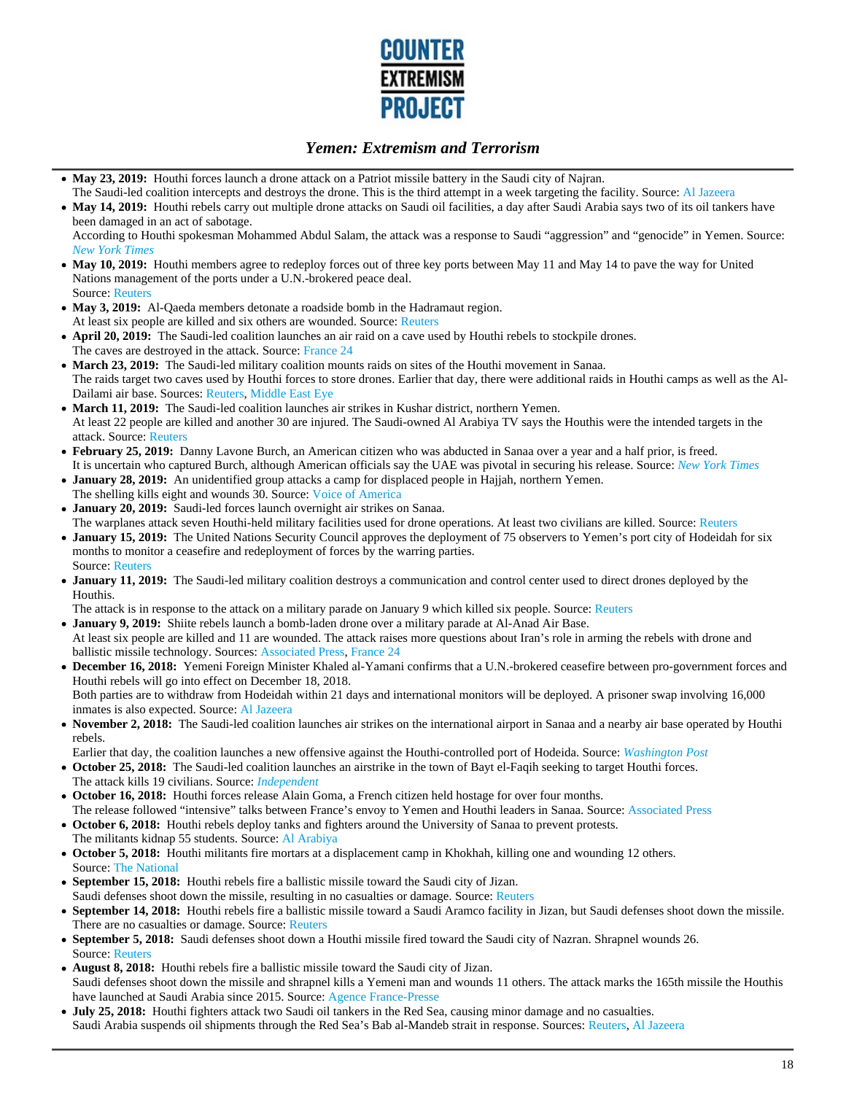

- **May 23, 2019:** Houthi forces launch a drone attack on a Patriot missile battery in the Saudi city of Najran.
- The Saudi-led coalition intercepts and destroys the drone. This is the third attempt in a week targeting the facility. Source: Al Jazeera • May 14, 2019: Houthi rebels carry out multiple drone attacks on Saudi oil facilities, a day after Saudi Arabia says two of its oil tankers have been damaged in an act of sabotage.

According to Houthi spokesman Mohammed Abdul Salam, the attack was a response to Saudi "aggression" and "genocide" in Yemen. Source: *New York Times*

- May 10, 2019: Houthi members agree to redeploy forces out of three key ports between May 11 and May 14 to pave the way for United Nations management of the ports under a U.N.-brokered peace deal. Source: Reuters
- May 3, 2019: Al-Qaeda members detonate a roadside bomb in the Hadramaut region. At least six people are killed and six others are wounded. Source: Reuters
- **April 20, 2019:** The Saudi-led coalition launches an air raid on a cave used by Houthi rebels to stockpile drones.  $\bullet$ The caves are destroyed in the attack. Source: France 24
- **March 23, 2019:** The Saudi-led military coalition mounts raids on sites of the Houthi movement in Sanaa. The raids target two caves used by Houthi forces to store drones. Earlier that day, there were additional raids in Houthi camps as well as the Al-Dailami air base. Sources: Reuters, Middle East Eye
- **March 11, 2019:** The Saudi-led coalition launches air strikes in Kushar district, northern Yemen. At least 22 people are killed and another 30 are injured. The Saudi-owned Al Arabiya TV says the Houthis were the intended targets in the attack. Source: Reuters
- **February 25, 2019:** Danny Lavone Burch, an American citizen who was abducted in Sanaa over a year and a half prior, is freed. It is uncertain who captured Burch, although American officials say the UAE was pivotal in securing his release. Source: *New York Times*
- **January 28, 2019:** An unidentified group attacks a camp for displaced people in Hajjah, northern Yemen.
- The shelling kills eight and wounds 30. Source: Voice of America **January 20, 2019:** Saudi-led forces launch overnight air strikes on Sanaa.
- The warplanes attack seven Houthi-held military facilities used for drone operations. At least two civilians are killed. Source: Reuters
- **January 15, 2019:** The United Nations Security Council approves the deployment of 75 observers to Yemen's port city of Hodeidah for six months to monitor a ceasefire and redeployment of forces by the warring parties. Source: Reuters
- **January 11, 2019:** The Saudi-led military coalition destroys a communication and control center used to direct drones deployed by the Houthis.

The attack is in response to the attack on a military parade on January 9 which killed six people. Source: Reuters

- **January 9, 2019:** Shiite rebels launch a bomb-laden drone over a military parade at Al-Anad Air Base.
- At least six people are killed and 11 are wounded. The attack raises more questions about Iran's role in arming the rebels with drone and ballistic missile technology. Sources: Associated Press, France 24
- **December 16, 2018:** Yemeni Foreign Minister Khaled al-Yamani confirms that a U.N.-brokered ceasefire between pro-government forces and Houthi rebels will go into effect on December 18, 2018.

Both parties are to withdraw from Hodeidah within 21 days and international monitors will be deployed. A prisoner swap involving 16,000 inmates is also expected. Source: Al Jazeera

- **November 2, 2018:** The Saudi-led coalition launches air strikes on the international airport in Sanaa and a nearby air base operated by Houthi rebels.
- Earlier that day, the coalition launches a new offensive against the Houthi-controlled port of Hodeida. Source: *Washington Post*
- **October 25, 2018:** The Saudi-led coalition launches an airstrike in the town of Bayt el-Faqih seeking to target Houthi forces. The attack kills 19 civilians. Source: *Independent*
- **October 16, 2018:** Houthi forces release Alain Goma, a French citizen held hostage for over four months. The release followed "intensive" talks between France's envoy to Yemen and Houthi leaders in Sanaa. Source: Associated Press
- **October 6, 2018:** Houthi rebels deploy tanks and fighters around the University of Sanaa to prevent protests. The militants kidnap 55 students. Source: Al Arabiya
- **October 5, 2018:** Houthi militants fire mortars at a displacement camp in Khokhah, killing one and wounding 12 others. Source: The National
- **September 15, 2018:** Houthi rebels fire a ballistic missile toward the Saudi city of Jizan. Saudi defenses shoot down the missile, resulting in no casualties or damage. Source: Reuters
- **September 14, 2018:** Houthi rebels fire a ballistic missile toward a Saudi Aramco facility in Jizan, but Saudi defenses shoot down the missile. There are no casualties or damage. Source: Reuters
- **September 5, 2018:** Saudi defenses shoot down a Houthi missile fired toward the Saudi city of Nazran. Shrapnel wounds 26. Source: Reuters
- **August 8, 2018:** Houthi rebels fire a ballistic missile toward the Saudi city of Jizan. Saudi defenses shoot down the missile and shrapnel kills a Yemeni man and wounds 11 others. The attack marks the 165th missile the Houthis have launched at Saudi Arabia since 2015. Source: Agence France-Presse
- **July 25, 2018:** Houthi fighters attack two Saudi oil tankers in the Red Sea, causing minor damage and no casualties. Saudi Arabia suspends oil shipments through the Red Sea's Bab al-Mandeb strait in response. Sources: Reuters, Al Jazeera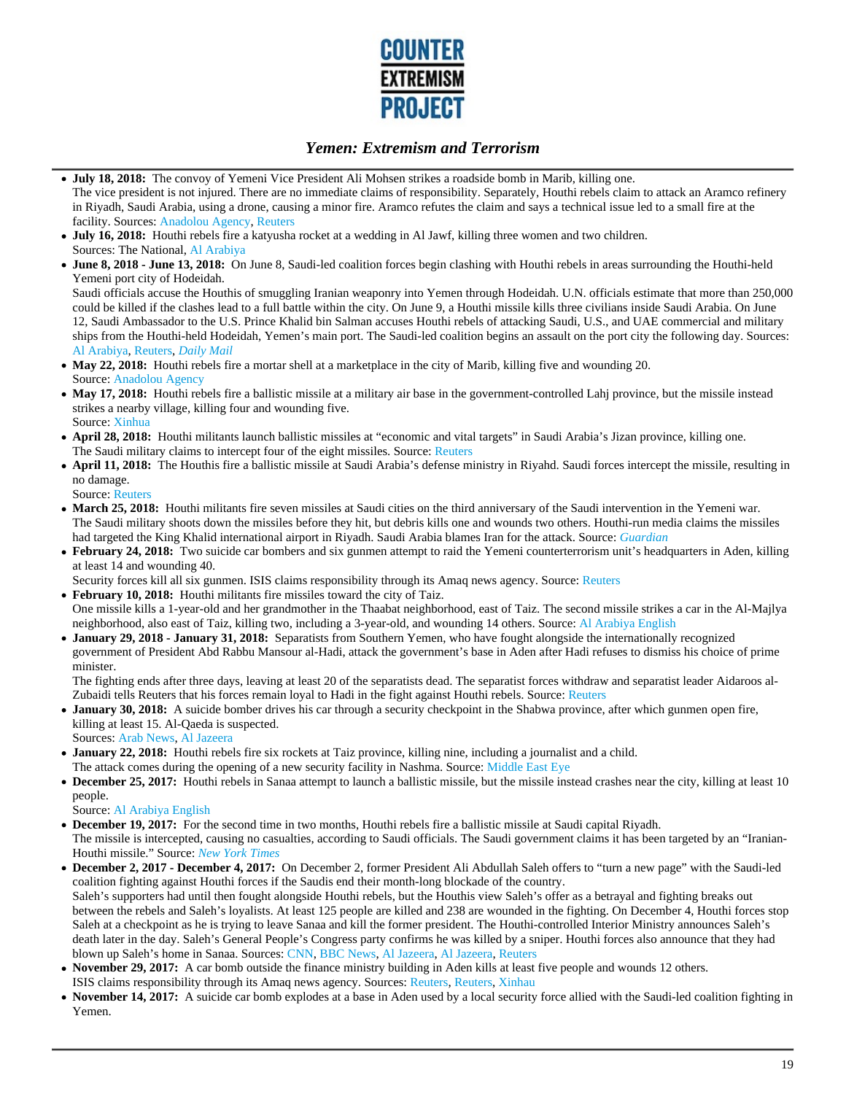

- **July 18, 2018:** The convoy of Yemeni Vice President Ali Mohsen strikes a roadside bomb in Marib, killing one. The vice president is not injured. There are no immediate claims of responsibility. Separately, Houthi rebels claim to attack an Aramco refinery in Riyadh, Saudi Arabia, using a drone, causing a minor fire. Aramco refutes the claim and says a technical issue led to a small fire at the facility. Sources: Anadolou Agency, Reuters
- **July 16, 2018:** Houthi rebels fire a katyusha rocket at a wedding in Al Jawf, killing three women and two children. Sources: The National, Al Arabiya
- **June 8, 2018 June 13, 2018:** On June 8, Saudi-led coalition forces begin clashing with Houthi rebels in areas surrounding the Houthi-held Yemeni port city of Hodeidah.

Saudi officials accuse the Houthis of smuggling Iranian weaponry into Yemen through Hodeidah. U.N. officials estimate that more than 250,000 could be killed if the clashes lead to a full battle within the city. On June 9, a Houthi missile kills three civilians inside Saudi Arabia. On June 12, Saudi Ambassador to the U.S. Prince Khalid bin Salman accuses Houthi rebels of attacking Saudi, U.S., and UAE commercial and military ships from the Houthi-held Hodeidah, Yemen's main port. The Saudi-led coalition begins an assault on the port city the following day. Sources: Al Arabiya, Reuters, *Daily Mail*

- **May 22, 2018:** Houthi rebels fire a mortar shell at a marketplace in the city of Marib, killing five and wounding 20. Source: Anadolou Agency
- May 17, 2018: Houthi rebels fire a ballistic missile at a military air base in the government-controlled Lahj province, but the missile instead strikes a nearby village, killing four and wounding five.
- Source: Xinhua
- **April 28, 2018:** Houthi militants launch ballistic missiles at "economic and vital targets" in Saudi Arabia's Jizan province, killing one. The Saudi military claims to intercept four of the eight missiles. Source: Reuters
- **April 11, 2018:** The Houthis fire a ballistic missile at Saudi Arabia's defense ministry in Riyahd. Saudi forces intercept the missile, resulting in no damage.

Source: Reuters

- **March 25, 2018:** Houthi militants fire seven missiles at Saudi cities on the third anniversary of the Saudi intervention in the Yemeni war. The Saudi military shoots down the missiles before they hit, but debris kills one and wounds two others. Houthi-run media claims the missiles had targeted the King Khalid international airport in Riyadh. Saudi Arabia blames Iran for the attack. Source: *Guardian*
- **February 24, 2018:** Two suicide car bombers and six gunmen attempt to raid the Yemeni counterterrorism unit's headquarters in Aden, killing at least 14 and wounding 40.

Security forces kill all six gunmen. ISIS claims responsibility through its Amaq news agency. Source: Reuters

- **February 10, 2018:** Houthi militants fire missiles toward the city of Taiz. One missile kills a 1-year-old and her grandmother in the Thaabat neighborhood, east of Taiz. The second missile strikes a car in the Al-Majlya neighborhood, also east of Taiz, killing two, including a 3-year-old, and wounding 14 others. Source: Al Arabiya English
- **January 29, 2018 January 31, 2018:** Separatists from Southern Yemen, who have fought alongside the internationally recognized government of President Abd Rabbu Mansour al-Hadi, attack the government's base in Aden after Hadi refuses to dismiss his choice of prime minister.

The fighting ends after three days, leaving at least 20 of the separatists dead. The separatist forces withdraw and separatist leader Aidaroos al-Zubaidi tells Reuters that his forces remain loyal to Hadi in the fight against Houthi rebels. Source: Reuters

**January 30, 2018:** A suicide bomber drives his car through a security checkpoint in the Shabwa province, after which gunmen open fire, killing at least 15. Al-Qaeda is suspected.

Sources: Arab News, Al Jazeera

- **January 22, 2018:** Houthi rebels fire six rockets at Taiz province, killing nine, including a journalist and a child.
- The attack comes during the opening of a new security facility in Nashma. Source: Middle East Eye
- December 25, 2017: Houthi rebels in Sanaa attempt to launch a ballistic missile, but the missile instead crashes near the city, killing at least 10 people.

Source: Al Arabiya English

- **December 19, 2017:** For the second time in two months, Houthi rebels fire a ballistic missile at Saudi capital Riyadh. The missile is intercepted, causing no casualties, according to Saudi officials. The Saudi government claims it has been targeted by an "Iranian-Houthi missile." Source: *New York Times*
- **December 2, 2017 December 4, 2017:** On December 2, former President Ali Abdullah Saleh offers to "turn a new page" with the Saudi-led coalition fighting against Houthi forces if the Saudis end their month-long blockade of the country. Saleh's supporters had until then fought alongside Houthi rebels, but the Houthis view Saleh's offer as a betrayal and fighting breaks out between the rebels and Saleh's loyalists. At least 125 people are killed and 238 are wounded in the fighting. On December 4, Houthi forces stop Saleh at a checkpoint as he is trying to leave Sanaa and kill the former president. The Houthi-controlled Interior Ministry announces Saleh's death later in the day. Saleh's General People's Congress party confirms he was killed by a sniper. Houthi forces also announce that they had blown up Saleh's home in Sanaa. Sources: CNN, BBC News, Al Jazeera, Al Jazeera, Reuters
- **November 29, 2017:** A car bomb outside the finance ministry building in Aden kills at least five people and wounds 12 others.
- ISIS claims responsibility through its Amaq news agency. Sources: Reuters, Reuters, Xinhau
- **November 14, 2017:** A suicide car bomb explodes at a base in Aden used by a local security force allied with the Saudi-led coalition fighting in Yemen.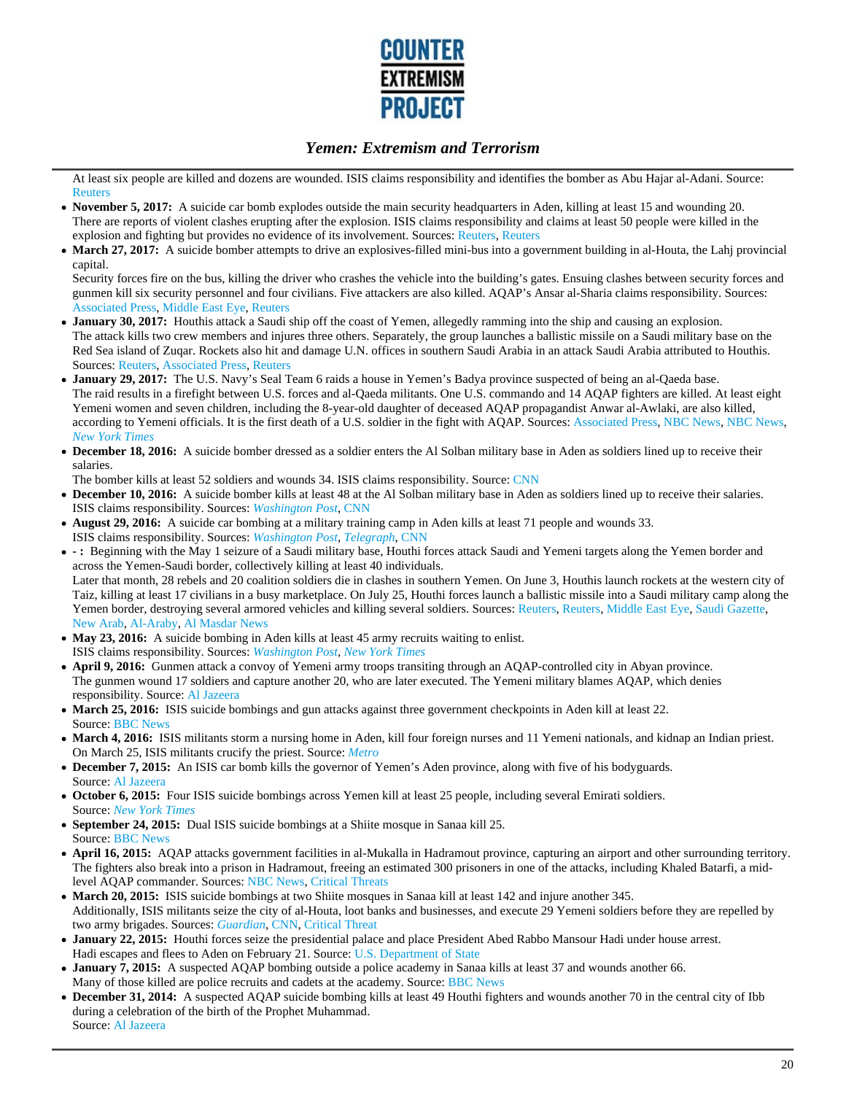

At least six people are killed and dozens are wounded. ISIS claims responsibility and identifies the bomber as Abu Hajar al-Adani. Source: **Reuters** 

- **November 5, 2017:** A suicide car bomb explodes outside the main security headquarters in Aden, killing at least 15 and wounding 20. There are reports of violent clashes erupting after the explosion. ISIS claims responsibility and claims at least 50 people were killed in the explosion and fighting but provides no evidence of its involvement. Sources: Reuters, Reuters
- March 27, 2017: A suicide bomber attempts to drive an explosives-filled mini-bus into a government building in al-Houta, the Lahj provincial capital.

Security forces fire on the bus, killing the driver who crashes the vehicle into the building's gates. Ensuing clashes between security forces and gunmen kill six security personnel and four civilians. Five attackers are also killed. AQAP's Ansar al-Sharia claims responsibility. Sources: Associated Press, Middle East Eye, Reuters

- **January 30, 2017:** Houthis attack a Saudi ship off the coast of Yemen, allegedly ramming into the ship and causing an explosion. The attack kills two crew members and injures three others. Separately, the group launches a ballistic missile on a Saudi military base on the Red Sea island of Zuqar. Rockets also hit and damage U.N. offices in southern Saudi Arabia in an attack Saudi Arabia attributed to Houthis. Sources: Reuters, Associated Press, Reuters
- **January 29, 2017:** The U.S. Navy's Seal Team 6 raids a house in Yemen's Badya province suspected of being an al-Qaeda base. The raid results in a firefight between U.S. forces and al-Qaeda militants. One U.S. commando and 14 AQAP fighters are killed. At least eight Yemeni women and seven children, including the 8-year-old daughter of deceased AQAP propagandist Anwar al-Awlaki, are also killed, according to Yemeni officials. It is the first death of a U.S. soldier in the fight with AQAP. Sources: Associated Press, NBC News, NBC News, *New York Times*
- **December 18, 2016:** A suicide bomber dressed as a soldier enters the Al Solban military base in Aden as soldiers lined up to receive their salaries.
- The bomber kills at least 52 soldiers and wounds 34. ISIS claims responsibility. Source: CNN
- **December 10, 2016:** A suicide bomber kills at least 48 at the Al Solban military base in Aden as soldiers lined up to receive their salaries. ISIS claims responsibility. Sources: *Washington Post*, CNN
- **August 29, 2016:** A suicide car bombing at a military training camp in Aden kills at least 71 people and wounds 33. ISIS claims responsibility. Sources: *Washington Post*, *Telegraph*, CNN
- **:** Beginning with the May 1 seizure of a Saudi military base, Houthi forces attack Saudi and Yemeni targets along the Yemen border and across the Yemen-Saudi border, collectively killing at least 40 individuals. Later that month, 28 rebels and 20 coalition soldiers die in clashes in southern Yemen. On June 3, Houthis launch rockets at the western city of Taiz, killing at least 17 civilians in a busy marketplace. On July 25, Houthi forces launch a ballistic missile into a Saudi military camp along the Yemen border, destroying several armored vehicles and killing several soldiers. Sources: Reuters, Reuters, Middle East Eye, Saudi Gazette, New Arab, Al-Araby, Al Masdar News
- May 23, 2016: A suicide bombing in Aden kills at least 45 army recruits waiting to enlist. ISIS claims responsibility. Sources: *Washington Post*, *New York Times*
- **April 9, 2016:** Gunmen attack a convoy of Yemeni army troops transiting through an AQAP-controlled city in Abyan province. The gunmen wound 17 soldiers and capture another 20, who are later executed. The Yemeni military blames AQAP, which denies responsibility. Source: Al Jazeera
- March 25, 2016: ISIS suicide bombings and gun attacks against three government checkpoints in Aden kill at least 22. Source: BBC News
- **March 4, 2016:** ISIS militants storm a nursing home in Aden, kill four foreign nurses and 11 Yemeni nationals, and kidnap an Indian priest. On March 25, ISIS militants crucify the priest. Source: *Metro*
- **December 7, 2015:** An ISIS car bomb kills the governor of Yemen's Aden province, along with five of his bodyguards. Source: Al Jazeera
- **October 6, 2015:** Four ISIS suicide bombings across Yemen kill at least 25 people, including several Emirati soldiers. Source: *New York Times*
- **September 24, 2015:** Dual ISIS suicide bombings at a Shiite mosque in Sanaa kill 25. Source: BBC News
- **April 16, 2015:** AQAP attacks government facilities in al-Mukalla in Hadramout province, capturing an airport and other surrounding territory. The fighters also break into a prison in Hadramout, freeing an estimated 300 prisoners in one of the attacks, including Khaled Batarfi, a midlevel AQAP commander. Sources: NBC News, Critical Threats
- **March 20, 2015:** ISIS suicide bombings at two Shiite mosques in Sanaa kill at least 142 and injure another 345. Additionally, ISIS militants seize the city of al-Houta, loot banks and businesses, and execute 29 Yemeni soldiers before they are repelled by two army brigades. Sources: *Guardian*, CNN, Critical Threat
- **January 22, 2015:** Houthi forces seize the presidential palace and place President Abed Rabbo Mansour Hadi under house arrest. Hadi escapes and flees to Aden on February 21. Source: U.S. Department of State
- **January 7, 2015:** A suspected AQAP bombing outside a police academy in Sanaa kills at least 37 and wounds another 66. Many of those killed are police recruits and cadets at the academy. Source: BBC News
- **December 31, 2014:** A suspected AQAP suicide bombing kills at least 49 Houthi fighters and wounds another 70 in the central city of Ibb during a celebration of the birth of the Prophet Muhammad. Source: Al Jazeera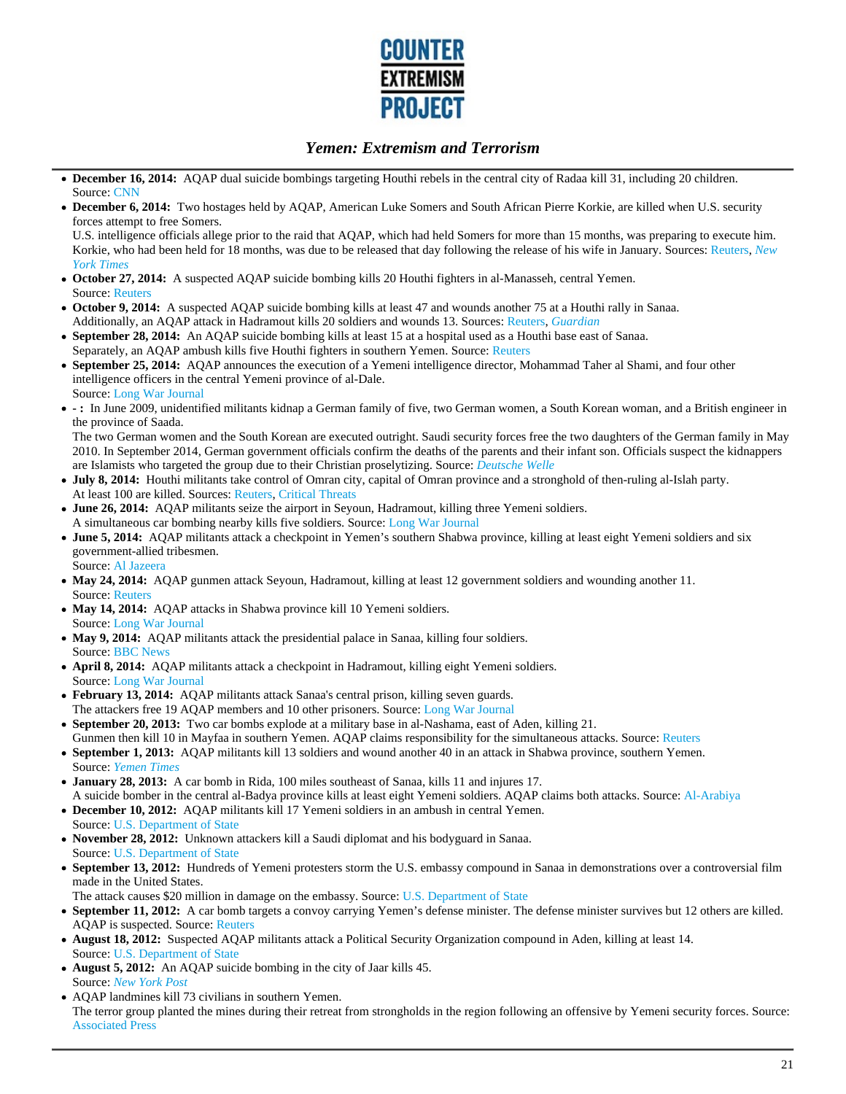

- **December 16, 2014:** AQAP dual suicide bombings targeting Houthi rebels in the central city of Radaa kill 31, including 20 children. Source: CNN
- **December 6, 2014:** Two hostages held by AQAP, American Luke Somers and South African Pierre Korkie, are killed when U.S. security forces attempt to free Somers.

U.S. intelligence officials allege prior to the raid that AQAP, which had held Somers for more than 15 months, was preparing to execute him. Korkie, who had been held for 18 months, was due to be released that day following the release of his wife in January. Sources: Reuters, *New York Times*

- **October 27, 2014:** A suspected AQAP suicide bombing kills 20 Houthi fighters in al-Manasseh, central Yemen. Source: Reuters
- **October 9, 2014:** A suspected AQAP suicide bombing kills at least 47 and wounds another 75 at a Houthi rally in Sanaa. Additionally, an AQAP attack in Hadramout kills 20 soldiers and wounds 13. Sources: Reuters, *Guardian*
- **September 28, 2014:** An AQAP suicide bombing kills at least 15 at a hospital used as a Houthi base east of Sanaa.  $\bullet$ Separately, an AQAP ambush kills five Houthi fighters in southern Yemen. Source: Reuters
- **September 25, 2014:** AQAP announces the execution of a Yemeni intelligence director, Mohammad Taher al Shami, and four other intelligence officers in the central Yemeni province of al-Dale. Source: Long War Journal
- **:** In June 2009, unidentified militants kidnap a German family of five, two German women, a South Korean woman, and a British engineer in the province of Saada.

The two German women and the South Korean are executed outright. Saudi security forces free the two daughters of the German family in May 2010. In September 2014, German government officials confirm the deaths of the parents and their infant son. Officials suspect the kidnappers are Islamists who targeted the group due to their Christian proselytizing. Source: *Deutsche Welle*

- **July 8, 2014:** Houthi militants take control of Omran city, capital of Omran province and a stronghold of then-ruling al-Islah party. At least 100 are killed. Sources: Reuters, Critical Threats
- **June 26, 2014:** AQAP militants seize the airport in Seyoun, Hadramout, killing three Yemeni soldiers. A simultaneous car bombing nearby kills five soldiers. Source: Long War Journal
- **June 5, 2014:** AQAP militants attack a checkpoint in Yemen's southern Shabwa province, killing at least eight Yemeni soldiers and six government-allied tribesmen. Source: Al Jazeera
- May 24, 2014: AQAP gunmen attack Seyoun, Hadramout, killing at least 12 government soldiers and wounding another 11. Source: Reuters
- **May 14, 2014:** AQAP attacks in Shabwa province kill 10 Yemeni soldiers. Source: Long War Journal
- May 9, 2014: AQAP militants attack the presidential palace in Sanaa, killing four soldiers. Source: BBC News
- **April 8, 2014:** AQAP militants attack a checkpoint in Hadramout, killing eight Yemeni soldiers. Source: Long War Journal
- **February 13, 2014:** AQAP militants attack Sanaa's central prison, killing seven guards. The attackers free 19 AQAP members and 10 other prisoners. Source: Long War Journal
- **September 20, 2013:** Two car bombs explode at a military base in al-Nashama, east of Aden, killing 21.
- Gunmen then kill 10 in Mayfaa in southern Yemen. AQAP claims responsibility for the simultaneous attacks. Source: Reuters **September 1, 2013:** AQAP militants kill 13 soldiers and wound another 40 in an attack in Shabwa province, southern Yemen. Source: *Yemen Times*
- **January 28, 2013:** A car bomb in Rida, 100 miles southeast of Sanaa, kills 11 and injures 17. A suicide bomber in the central al-Badya province kills at least eight Yemeni soldiers. AQAP claims both attacks. Source: Al-Arabiya
- **December 10, 2012:** AQAP militants kill 17 Yemeni soldiers in an ambush in central Yemen.
- Source: U.S. Department of State
- **November 28, 2012:** Unknown attackers kill a Saudi diplomat and his bodyguard in Sanaa. Source: U.S. Department of State
- **September 13, 2012:** Hundreds of Yemeni protesters storm the U.S. embassy compound in Sanaa in demonstrations over a controversial film made in the United States.
- The attack causes \$20 million in damage on the embassy. Source: U.S. Department of State
- **September 11, 2012:** A car bomb targets a convoy carrying Yemen's defense minister. The defense minister survives but 12 others are killed. AQAP is suspected. Source: Reuters
- **August 18, 2012:** Suspected AQAP militants attack a Political Security Organization compound in Aden, killing at least 14. Source: U.S. Department of State
- **August 5, 2012:** An AQAP suicide bombing in the city of Jaar kills 45. Source: *New York Post*
- AQAP landmines kill 73 civilians in southern Yemen. The terror group planted the mines during their retreat from strongholds in the region following an offensive by Yemeni security forces. Source: Associated Press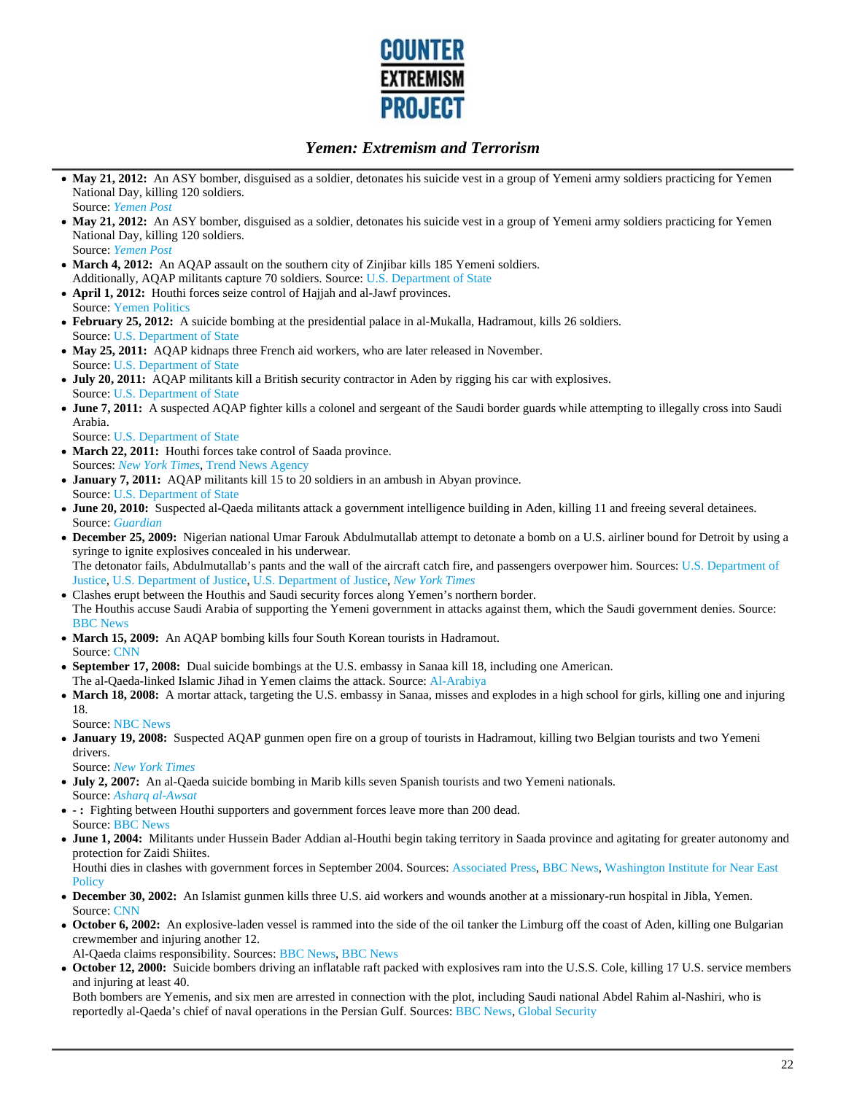

- May 21, 2012: An ASY bomber, disguised as a soldier, detonates his suicide vest in a group of Yemeni army soldiers practicing for Yemen National Day, killing 120 soldiers. Source: *Yemen Post*
- May 21, 2012: An ASY bomber, disguised as a soldier, detonates his suicide vest in a group of Yemeni army soldiers practicing for Yemen National Day, killing 120 soldiers. Source: *Yemen Post*
- March 4, 2012: An AQAP assault on the southern city of Zinjibar kills 185 Yemeni soldiers. Additionally, AQAP militants capture 70 soldiers. Source: U.S. Department of State
- **April 1, 2012:** Houthi forces seize control of Hajjah and al-Jawf provinces. Source: Yemen Politics
- **February 25, 2012:** A suicide bombing at the presidential palace in al-Mukalla, Hadramout, kills 26 soldiers. Source: U.S. Department of State
- May 25, 2011: AQAP kidnaps three French aid workers, who are later released in November. Source: U.S. Department of State
- **July 20, 2011:** AQAP militants kill a British security contractor in Aden by rigging his car with explosives. Source: U.S. Department of State
- **June 7, 2011:** A suspected AQAP fighter kills a colonel and sergeant of the Saudi border guards while attempting to illegally cross into Saudi Arabia.
	- Source: U.S. Department of State
- March 22, 2011: Houthi forces take control of Saada province. Sources: *New York Times*, Trend News Agency
- **January 7, 2011:** AQAP militants kill 15 to 20 soldiers in an ambush in Abyan province. Source: U.S. Department of State
- **June 20, 2010:** Suspected al-Qaeda militants attack a government intelligence building in Aden, killing 11 and freeing several detainees. Source: *Guardian*
- **December 25, 2009:** Nigerian national Umar Farouk Abdulmutallab attempt to detonate a bomb on a U.S. airliner bound for Detroit by using a syringe to ignite explosives concealed in his underwear. The detonator fails, Abdulmutallab's pants and the wall of the aircraft catch fire, and passengers overpower him. Sources: U.S. Department of
- Justice, U.S. Department of Justice, U.S. Department of Justice, *New York Times*
- Clashes erupt between the Houthis and Saudi security forces along Yemen's northern border. The Houthis accuse Saudi Arabia of supporting the Yemeni government in attacks against them, which the Saudi government denies. Source: BBC News
- **March 15, 2009:** An AQAP bombing kills four South Korean tourists in Hadramout. Source: CNN
- **September 17, 2008:** Dual suicide bombings at the U.S. embassy in Sanaa kill 18, including one American. The al-Qaeda-linked Islamic Jihad in Yemen claims the attack. Source: Al-Arabiya
- March 18, 2008: A mortar attack, targeting the U.S. embassy in Sanaa, misses and explodes in a high school for girls, killing one and injuring 18.
	- Source: NBC News
- **January 19, 2008:** Suspected AQAP gunmen open fire on a group of tourists in Hadramout, killing two Belgian tourists and two Yemeni drivers.
	- Source: *New York Times*
- **July 2, 2007:** An al-Qaeda suicide bombing in Marib kills seven Spanish tourists and two Yemeni nationals. Source: *Asharq al-Awsat*
- **:** Fighting between Houthi supporters and government forces leave more than 200 dead. Source: BBC News
- **June 1, 2004:** Militants under Hussein Bader Addian al-Houthi begin taking territory in Saada province and agitating for greater autonomy and protection for Zaidi Shiites.

Houthi dies in clashes with government forces in September 2004. Sources: Associated Press, BBC News, Washington Institute for Near East **Policy** 

- **December 30, 2002:** An Islamist gunmen kills three U.S. aid workers and wounds another at a missionary-run hospital in Jibla, Yemen. Source: CNN
- **October 6, 2002:** An explosive-laden vessel is rammed into the side of the oil tanker the Limburg off the coast of Aden, killing one Bulgarian crewmember and injuring another 12.
- Al-Qaeda claims responsibility. Sources: BBC News, BBC News
- **October 12, 2000:** Suicide bombers driving an inflatable raft packed with explosives ram into the U.S.S. Cole, killing 17 U.S. service members and injuring at least 40.

Both bombers are Yemenis, and six men are arrested in connection with the plot, including Saudi national Abdel Rahim al-Nashiri, who is reportedly al-Qaeda's chief of naval operations in the Persian Gulf. Sources: BBC News, Global Security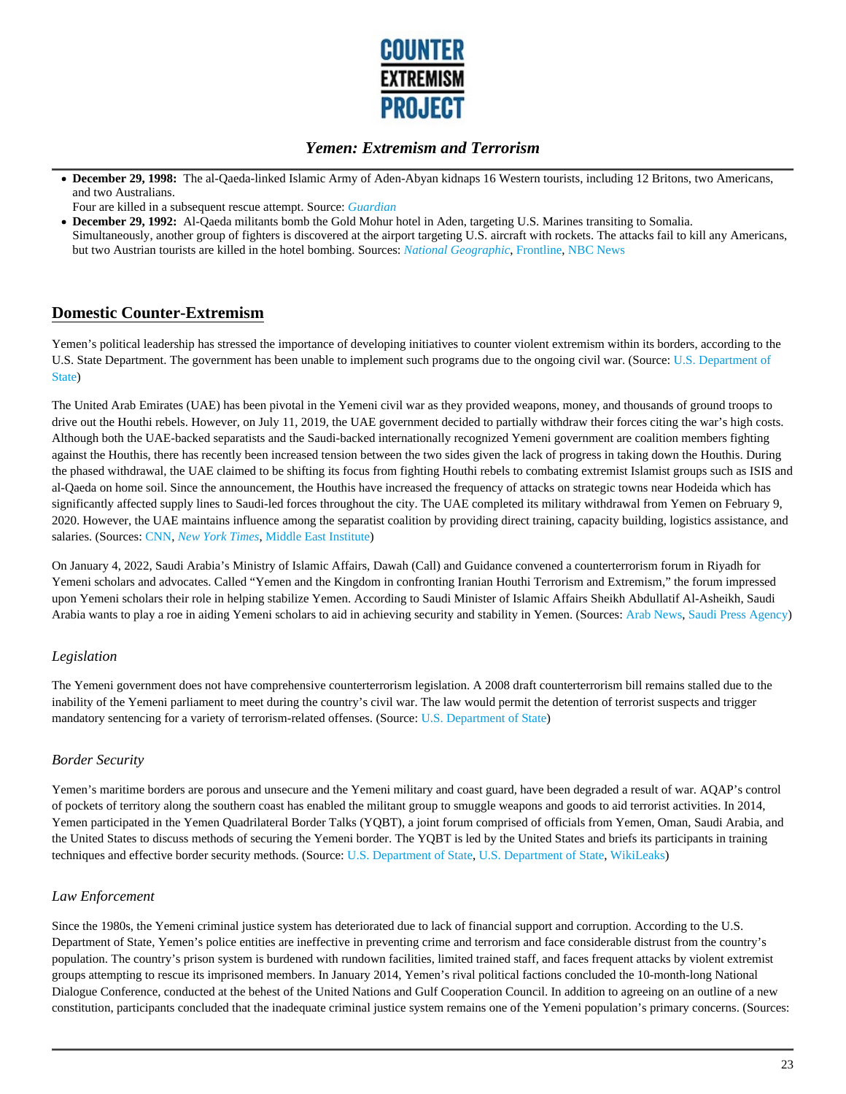

- **December 29, 1998:** The al-Qaeda-linked Islamic Army of Aden-Abyan kidnaps 16 Western tourists, including 12 Britons, two Americans, and two Australians.
- Four are killed in a subsequent rescue attempt. Source: *Guardian*
- **December 29, 1992:** Al-Qaeda militants bomb the Gold Mohur hotel in Aden, targeting U.S. Marines transiting to Somalia. Simultaneously, another group of fighters is discovered at the airport targeting U.S. aircraft with rockets. The attacks fail to kill any Americans, but two Austrian tourists are killed in the hotel bombing. Sources: *National Geographic*, Frontline, NBC News

# **Domestic Counter-Extremism**

Yemen's political leadership has stressed the importance of developing initiatives to counter violent extremism within its borders, according to the U.S. State Department. The government has been unable to implement such programs due to the ongoing civil war. (Source: U.S. Department of State)

The United Arab Emirates (UAE) has been pivotal in the Yemeni civil war as they provided weapons, money, and thousands of ground troops to drive out the Houthi rebels. However, on July 11, 2019, the UAE government decided to partially withdraw their forces citing the war's high costs. Although both the UAE-backed separatists and the Saudi-backed internationally recognized Yemeni government are coalition members fighting against the Houthis, there has recently been increased tension between the two sides given the lack of progress in taking down the Houthis. During the phased withdrawal, the UAE claimed to be shifting its focus from fighting Houthi rebels to combating extremist Islamist groups such as ISIS and al-Qaeda on home soil. Since the announcement, the Houthis have increased the frequency of attacks on strategic towns near Hodeida which has significantly affected supply lines to Saudi-led forces throughout the city. The UAE completed its military withdrawal from Yemen on February 9, 2020. However, the UAE maintains influence among the separatist coalition by providing direct training, capacity building, logistics assistance, and salaries. (Sources: CNN, *New York Times*, Middle East Institute)

On January 4, 2022, Saudi Arabia's Ministry of Islamic Affairs, Dawah (Call) and Guidance convened a counterterrorism forum in Riyadh for Yemeni scholars and advocates. Called "Yemen and the Kingdom in confronting Iranian Houthi Terrorism and Extremism," the forum impressed upon Yemeni scholars their role in helping stabilize Yemen. According to Saudi Minister of Islamic Affairs Sheikh Abdullatif Al-Asheikh, Saudi Arabia wants to play a roe in aiding Yemeni scholars to aid in achieving security and stability in Yemen. (Sources: Arab News, Saudi Press Agency)

#### *Legislation*

The Yemeni government does not have comprehensive counterterrorism legislation. A 2008 draft counterterrorism bill remains stalled due to the inability of the Yemeni parliament to meet during the country's civil war. The law would permit the detention of terrorist suspects and trigger mandatory sentencing for a variety of terrorism-related offenses. (Source: U.S. Department of State)

#### *Border Security*

Yemen's maritime borders are porous and unsecure and the Yemeni military and coast guard, have been degraded a result of war. AQAP's control of pockets of territory along the southern coast has enabled the militant group to smuggle weapons and goods to aid terrorist activities. In 2014, Yemen participated in the Yemen Quadrilateral Border Talks (YQBT), a joint forum comprised of officials from Yemen, Oman, Saudi Arabia, and the United States to discuss methods of securing the Yemeni border. The YQBT is led by the United States and briefs its participants in training techniques and effective border security methods. (Source: U.S. Department of State, U.S. Department of State, WikiLeaks)

#### *Law Enforcement*

Since the 1980s, the Yemeni criminal justice system has deteriorated due to lack of financial support and corruption. According to the U.S. Department of State, Yemen's police entities are ineffective in preventing crime and terrorism and face considerable distrust from the country's population. The country's prison system is burdened with rundown facilities, limited trained staff, and faces frequent attacks by violent extremist groups attempting to rescue its imprisoned members. In January 2014, Yemen's rival political factions concluded the 10-month-long National Dialogue Conference, conducted at the behest of the United Nations and Gulf Cooperation Council. In addition to agreeing on an outline of a new constitution, participants concluded that the inadequate criminal justice system remains one of the Yemeni population's primary concerns. (Sources: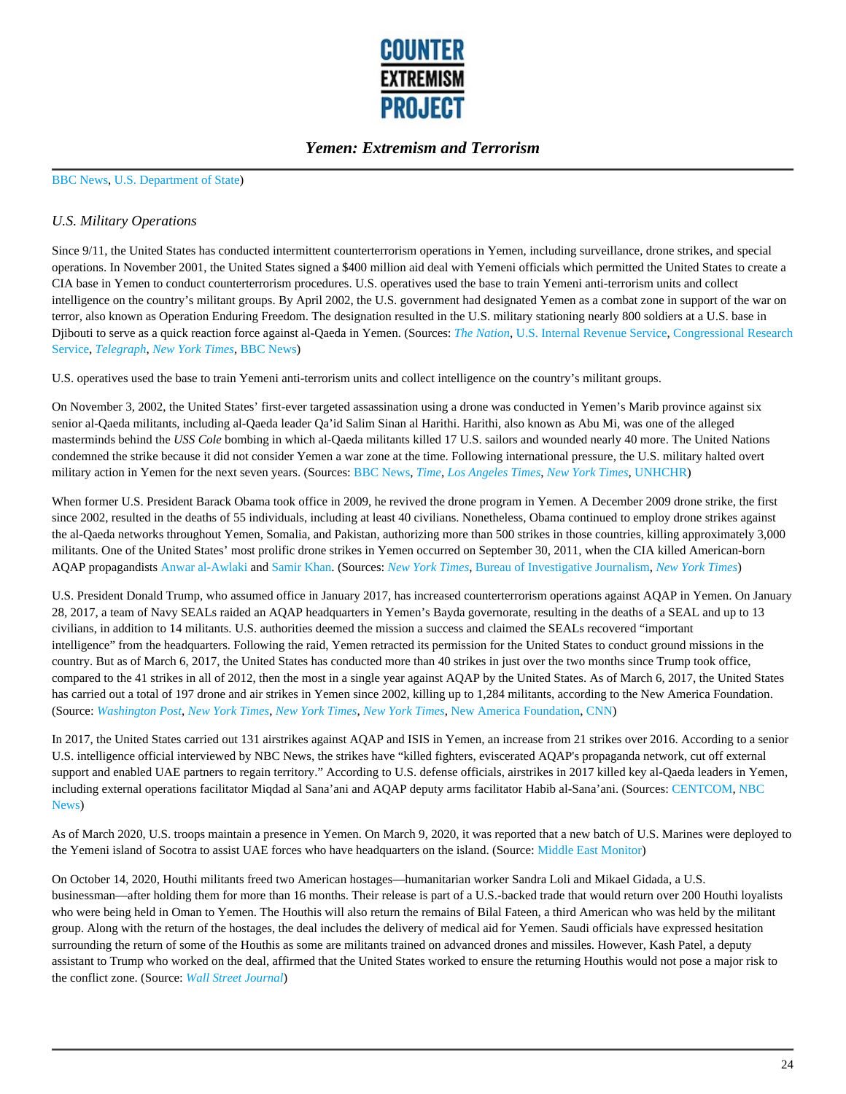

#### BBC News, U.S. Department of State)

#### *U.S. Military Operations*

Since 9/11, the United States has conducted intermittent counterterrorism operations in Yemen, including surveillance, drone strikes, and special operations. In November 2001, the United States signed a \$400 million aid deal with Yemeni officials which permitted the United States to create a CIA base in Yemen to conduct counterterrorism procedures. U.S. operatives used the base to train Yemeni anti-terrorism units and collect intelligence on the country's militant groups. By April 2002, the U.S. government had designated Yemen as a combat zone in support of the war on terror, also known as Operation Enduring Freedom. The designation resulted in the U.S. military stationing nearly 800 soldiers at a U.S. base in Djibouti to serve as a quick reaction force against al-Qaeda in Yemen. (Sources: *The Nation*, U.S. Internal Revenue Service, Congressional Research Service, *Telegraph*, *New York Times*, BBC News)

U.S. operatives used the base to train Yemeni anti-terrorism units and collect intelligence on the country's militant groups.

On November 3, 2002, the United States' first-ever targeted assassination using a drone was conducted in Yemen's Marib province against six senior al-Qaeda militants, including al-Qaeda leader Qa'id Salim Sinan al Harithi. Harithi, also known as Abu Mi, was one of the alleged masterminds behind the *USS Cole* bombing in which al-Qaeda militants killed 17 U.S. sailors and wounded nearly 40 more. The United Nations condemned the strike because it did not consider Yemen a war zone at the time. Following international pressure, the U.S. military halted overt military action in Yemen for the next seven years. (Sources: BBC News, *Time*, *Los Angeles Times*, *New York Times*, UNHCHR)

When former U.S. President Barack Obama took office in 2009, he revived the drone program in Yemen. A December 2009 drone strike, the first since 2002, resulted in the deaths of 55 individuals, including at least 40 civilians. Nonetheless, Obama continued to employ drone strikes against the al-Qaeda networks throughout Yemen, Somalia, and Pakistan, authorizing more than 500 strikes in those countries, killing approximately 3,000 militants. One of the United States' most prolific drone strikes in Yemen occurred on September 30, 2011, when the CIA killed American-born AQAP propagandists Anwar al-Awlaki and Samir Khan. (Sources: *New York Times*, Bureau of Investigative Journalism, *New York Times*)

U.S. President Donald Trump, who assumed office in January 2017, has increased counterterrorism operations against AQAP in Yemen. On January 28, 2017, a team of Navy SEALs raided an AQAP headquarters in Yemen's Bayda governorate, resulting in the deaths of a SEAL and up to 13 civilians, in addition to 14 militants. U.S. authorities deemed the mission a success and claimed the SEALs recovered "important intelligence" from the headquarters. Following the raid, Yemen retracted its permission for the United States to conduct ground missions in the country. But as of March 6, 2017, the United States has conducted more than 40 strikes in just over the two months since Trump took office, compared to the 41 strikes in all of 2012, then the most in a single year against AQAP by the United States. As of March 6, 2017, the United States has carried out a total of 197 drone and air strikes in Yemen since 2002, killing up to 1,284 militants, according to the New America Foundation. (Source: *Washington Post*, *New York Times*, *New York Times*, *New York Times*, New America Foundation, CNN)

In 2017, the United States carried out 131 airstrikes against AQAP and ISIS in Yemen, an increase from 21 strikes over 2016. According to a senior U.S. intelligence official interviewed by NBC News, the strikes have "killed fighters, eviscerated AQAP's propaganda network, cut off external support and enabled UAE partners to regain territory." According to U.S. defense officials, airstrikes in 2017 killed key al-Qaeda leaders in Yemen, including external operations facilitator Miqdad al Sana'ani and AQAP deputy arms facilitator Habib al-Sana'ani. (Sources: CENTCOM, NBC News)

As of March 2020, U.S. troops maintain a presence in Yemen. On March 9, 2020, it was reported that a new batch of U.S. Marines were deployed to the Yemeni island of Socotra to assist UAE forces who have headquarters on the island. (Source: Middle East Monitor)

On October 14, 2020, Houthi militants freed two American hostages—humanitarian worker Sandra Loli and Mikael Gidada, a U.S. businessman—after holding them for more than 16 months. Their release is part of a U.S.-backed trade that would return over 200 Houthi loyalists who were being held in Oman to Yemen. The Houthis will also return the remains of Bilal Fateen, a third American who was held by the militant group. Along with the return of the hostages, the deal includes the delivery of medical aid for Yemen. Saudi officials have expressed hesitation surrounding the return of some of the Houthis as some are militants trained on advanced drones and missiles. However, Kash Patel, a deputy assistant to Trump who worked on the deal, affirmed that the United States worked to ensure the returning Houthis would not pose a major risk to the conflict zone. (Source: *Wall Street Journal*)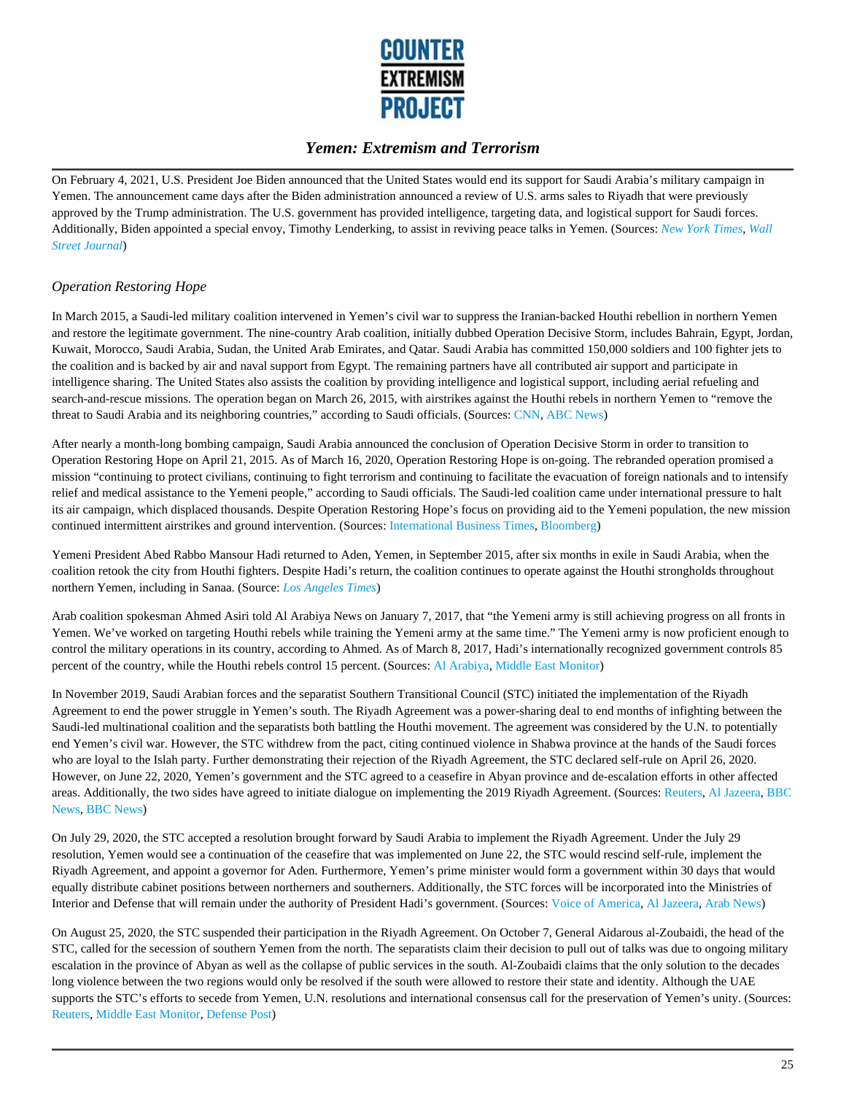

On February 4, 2021, U.S. President Joe Biden announced that the United States would end its support for Saudi Arabia's military campaign in Yemen. The announcement came days after the Biden administration announced a review of U.S. arms sales to Riyadh that were previously approved by the Trump administration. The U.S. government has provided intelligence, targeting data, and logistical support for Saudi forces. Additionally, Biden appointed a special envoy, Timothy Lenderking, to assist in reviving peace talks in Yemen. (Sources: *New York Times*, *Wall Street Journal*)

#### *Operation Restoring Hope*

In March 2015, a Saudi-led military coalition intervened in Yemen's civil war to suppress the Iranian-backed Houthi rebellion in northern Yemen and restore the legitimate government. The nine-country Arab coalition, initially dubbed Operation Decisive Storm, includes Bahrain, Egypt, Jordan, Kuwait, Morocco, Saudi Arabia, Sudan, the United Arab Emirates, and Qatar. Saudi Arabia has committed 150,000 soldiers and 100 fighter jets to the coalition and is backed by air and naval support from Egypt. The remaining partners have all contributed air support and participate in intelligence sharing. The United States also assists the coalition by providing intelligence and logistical support, including aerial refueling and search-and-rescue missions. The operation began on March 26, 2015, with airstrikes against the Houthi rebels in northern Yemen to "remove the threat to Saudi Arabia and its neighboring countries," according to Saudi officials. (Sources: CNN, ABC News)

After nearly a month-long bombing campaign, Saudi Arabia announced the conclusion of Operation Decisive Storm in order to transition to Operation Restoring Hope on April 21, 2015. As of March 16, 2020, Operation Restoring Hope is on-going. The rebranded operation promised a mission "continuing to protect civilians, continuing to fight terrorism and continuing to facilitate the evacuation of foreign nationals and to intensify relief and medical assistance to the Yemeni people," according to Saudi officials. The Saudi-led coalition came under international pressure to halt its air campaign, which displaced thousands. Despite Operation Restoring Hope's focus on providing aid to the Yemeni population, the new mission continued intermittent airstrikes and ground intervention. (Sources: International Business Times, Bloomberg)

Yemeni President Abed Rabbo Mansour Hadi returned to Aden, Yemen, in September 2015, after six months in exile in Saudi Arabia, when the coalition retook the city from Houthi fighters. Despite Hadi's return, the coalition continues to operate against the Houthi strongholds throughout northern Yemen, including in Sanaa. (Source: *Los Angeles Times*)

Arab coalition spokesman Ahmed Asiri told Al Arabiya News on January 7, 2017, that "the Yemeni army is still achieving progress on all fronts in Yemen. We've worked on targeting Houthi rebels while training the Yemeni army at the same time." The Yemeni army is now proficient enough to control the military operations in its country, according to Ahmed. As of March 8, 2017, Hadi's internationally recognized government controls 85 percent of the country, while the Houthi rebels control 15 percent. (Sources: Al Arabiya, Middle East Monitor)

In November 2019, Saudi Arabian forces and the separatist Southern Transitional Council (STC) initiated the implementation of the Riyadh Agreement to end the power struggle in Yemen's south. The Riyadh Agreement was a power-sharing deal to end months of infighting between the Saudi-led multinational coalition and the separatists both battling the Houthi movement. The agreement was considered by the U.N. to potentially end Yemen's civil war. However, the STC withdrew from the pact, citing continued violence in Shabwa province at the hands of the Saudi forces who are loyal to the Islah party. Further demonstrating their rejection of the Riyadh Agreement, the STC declared self-rule on April 26, 2020. However, on June 22, 2020, Yemen's government and the STC agreed to a ceasefire in Abyan province and de-escalation efforts in other affected areas. Additionally, the two sides have agreed to initiate dialogue on implementing the 2019 Riyadh Agreement. (Sources: Reuters, Al Jazeera, BBC News, BBC News)

On July 29, 2020, the STC accepted a resolution brought forward by Saudi Arabia to implement the Riyadh Agreement. Under the July 29 resolution, Yemen would see a continuation of the ceasefire that was implemented on June 22, the STC would rescind self-rule, implement the Riyadh Agreement, and appoint a governor for Aden. Furthermore, Yemen's prime minister would form a government within 30 days that would equally distribute cabinet positions between northerners and southerners. Additionally, the STC forces will be incorporated into the Ministries of Interior and Defense that will remain under the authority of President Hadi's government. (Sources: Voice of America, Al Jazeera, Arab News)

On August 25, 2020, the STC suspended their participation in the Riyadh Agreement. On October 7, General Aidarous al-Zoubaidi, the head of the STC, called for the secession of southern Yemen from the north. The separatists claim their decision to pull out of talks was due to ongoing military escalation in the province of Abyan as well as the collapse of public services in the south. Al-Zoubaidi claims that the only solution to the decades long violence between the two regions would only be resolved if the south were allowed to restore their state and identity. Although the UAE supports the STC's efforts to secede from Yemen, U.N. resolutions and international consensus call for the preservation of Yemen's unity. (Sources: Reuters, Middle East Monitor, Defense Post)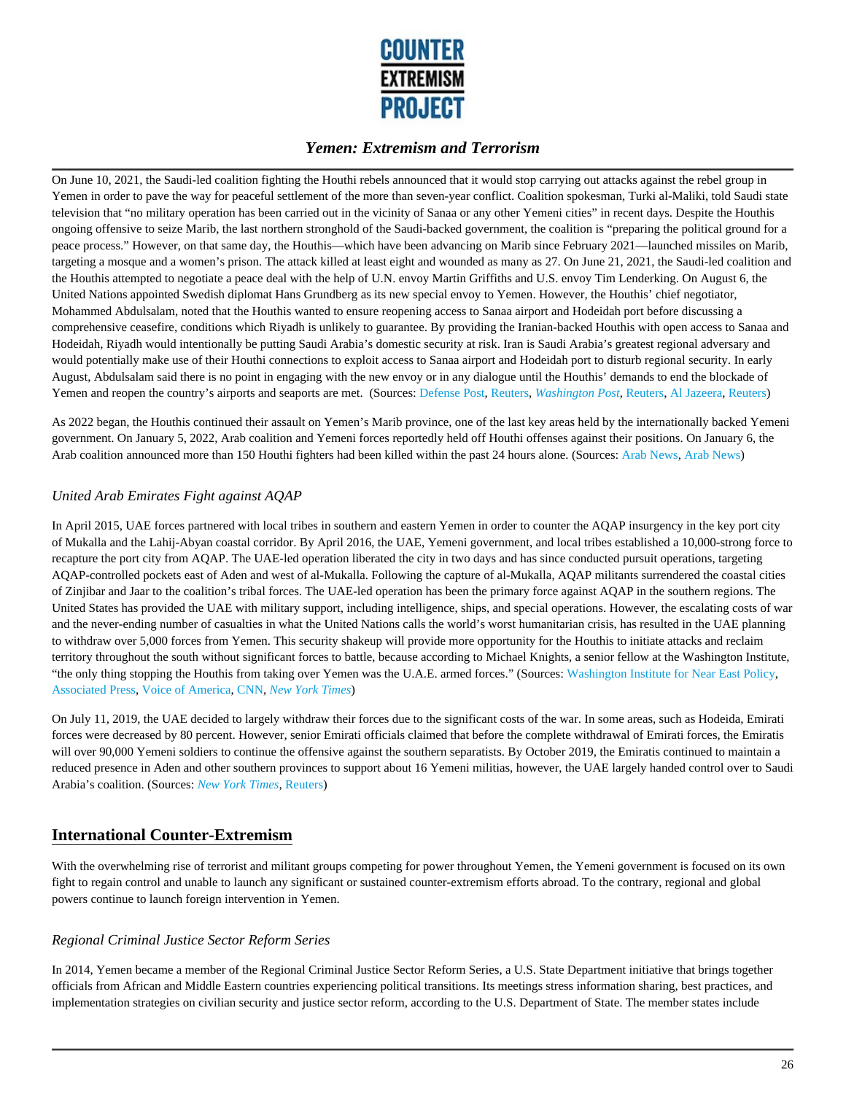

On June 10, 2021, the Saudi-led coalition fighting the Houthi rebels announced that it would stop carrying out attacks against the rebel group in Yemen in order to pave the way for peaceful settlement of the more than seven-year conflict. Coalition spokesman, Turki al-Maliki, told Saudi state television that "no military operation has been carried out in the vicinity of Sanaa or any other Yemeni cities" in recent days. Despite the Houthis ongoing offensive to seize Marib, the last northern stronghold of the Saudi-backed government, the coalition is "preparing the political ground for a peace process." However, on that same day, the Houthis—which have been advancing on Marib since February 2021—launched missiles on Marib, targeting a mosque and a women's prison. The attack killed at least eight and wounded as many as 27. On June 21, 2021, the Saudi-led coalition and the Houthis attempted to negotiate a peace deal with the help of U.N. envoy Martin Griffiths and U.S. envoy Tim Lenderking. On August 6, the United Nations appointed Swedish diplomat Hans Grundberg as its new special envoy to Yemen. However, the Houthis' chief negotiator, Mohammed Abdulsalam, noted that the Houthis wanted to ensure reopening access to Sanaa airport and Hodeidah port before discussing a comprehensive ceasefire, conditions which Riyadh is unlikely to guarantee. By providing the Iranian-backed Houthis with open access to Sanaa and Hodeidah, Riyadh would intentionally be putting Saudi Arabia's domestic security at risk. Iran is Saudi Arabia's greatest regional adversary and would potentially make use of their Houthi connections to exploit access to Sanaa airport and Hodeidah port to disturb regional security. In early August, Abdulsalam said there is no point in engaging with the new envoy or in any dialogue until the Houthis' demands to end the blockade of Yemen and reopen the country's airports and seaports are met. (Sources: Defense Post, Reuters, *Washington Post*, Reuters, Al Jazeera, Reuters)

As 2022 began, the Houthis continued their assault on Yemen's Marib province, one of the last key areas held by the internationally backed Yemeni government. On January 5, 2022, Arab coalition and Yemeni forces reportedly held off Houthi offenses against their positions. On January 6, the Arab coalition announced more than 150 Houthi fighters had been killed within the past 24 hours alone. (Sources: Arab News, Arab News)

#### *United Arab Emirates Fight against AQAP*

In April 2015, UAE forces partnered with local tribes in southern and eastern Yemen in order to counter the AQAP insurgency in the key port city of Mukalla and the Lahij-Abyan coastal corridor. By April 2016, the UAE, Yemeni government, and local tribes established a 10,000-strong force to recapture the port city from AQAP. The UAE-led operation liberated the city in two days and has since conducted pursuit operations, targeting AQAP-controlled pockets east of Aden and west of al-Mukalla. Following the capture of al-Mukalla, AQAP militants surrendered the coastal cities of Zinjibar and Jaar to the coalition's tribal forces. The UAE-led operation has been the primary force against AQAP in the southern regions. The United States has provided the UAE with military support, including intelligence, ships, and special operations. However, the escalating costs of war and the never-ending number of casualties in what the United Nations calls the world's worst humanitarian crisis, has resulted in the UAE planning to withdraw over 5,000 forces from Yemen. This security shakeup will provide more opportunity for the Houthis to initiate attacks and reclaim territory throughout the south without significant forces to battle, because according to Michael Knights, a senior fellow at the Washington Institute, "the only thing stopping the Houthis from taking over Yemen was the U.A.E. armed forces." (Sources: Washington Institute for Near East Policy, Associated Press, Voice of America, CNN, *New York Times*)

On July 11, 2019, the UAE decided to largely withdraw their forces due to the significant costs of the war. In some areas, such as Hodeida, Emirati forces were decreased by 80 percent. However, senior Emirati officials claimed that before the complete withdrawal of Emirati forces, the Emiratis will over 90,000 Yemeni soldiers to continue the offensive against the southern separatists. By October 2019, the Emiratis continued to maintain a reduced presence in Aden and other southern provinces to support about 16 Yemeni militias, however, the UAE largely handed control over to Saudi Arabia's coalition. (Sources: *New York Times*, Reuters)

# **International Counter-Extremism**

With the overwhelming rise of terrorist and militant groups competing for power throughout Yemen, the Yemeni government is focused on its own fight to regain control and unable to launch any significant or sustained counter-extremism efforts abroad. To the contrary, regional and global powers continue to launch foreign intervention in Yemen.

#### *Regional Criminal Justice Sector Reform Series*

In 2014, Yemen became a member of the Regional Criminal Justice Sector Reform Series, a U.S. State Department initiative that brings together officials from African and Middle Eastern countries experiencing political transitions. Its meetings stress information sharing, best practices, and implementation strategies on civilian security and justice sector reform, according to the U.S. Department of State. The member states include